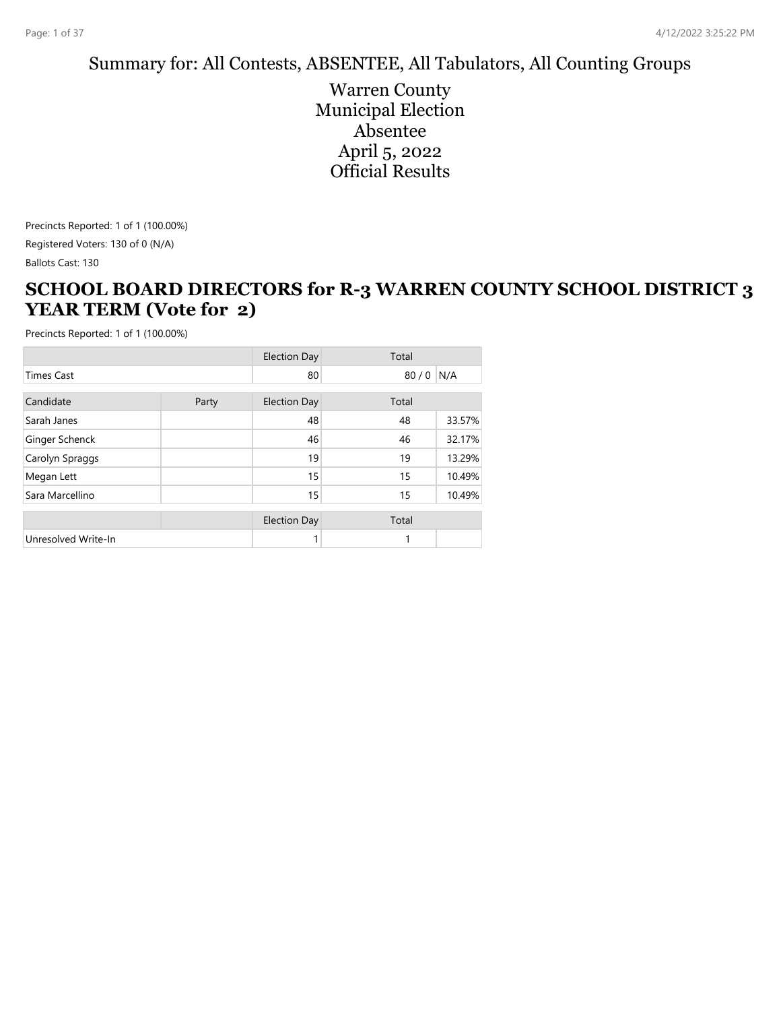#### Summary for: All Contests, ABSENTEE, All Tabulators, All Counting Groups

Warren County Municipal Election Absentee April 5, 2022 Official Results

Precincts Reported: 1 of 1 (100.00%) Registered Voters: 130 of 0 (N/A)

Ballots Cast: 130

#### **SCHOOL BOARD DIRECTORS for R-3 WARREN COUNTY SCHOOL DISTRICT 3 YEAR TERM (Vote for 2)**

|                     |       | <b>Election Day</b> | Total |        |
|---------------------|-------|---------------------|-------|--------|
| <b>Times Cast</b>   |       | 80                  | 80/0  | N/A    |
| Candidate           | Party | <b>Election Day</b> | Total |        |
| Sarah Janes         |       | 48                  | 48    | 33.57% |
| Ginger Schenck      |       | 46                  | 46    | 32.17% |
| Carolyn Spraggs     |       | 19                  | 19    | 13.29% |
| Megan Lett          |       | 15                  | 15    | 10.49% |
| Sara Marcellino     |       | 15                  | 15    | 10.49% |
|                     |       | <b>Election Day</b> | Total |        |
| Unresolved Write-In |       |                     | 1     |        |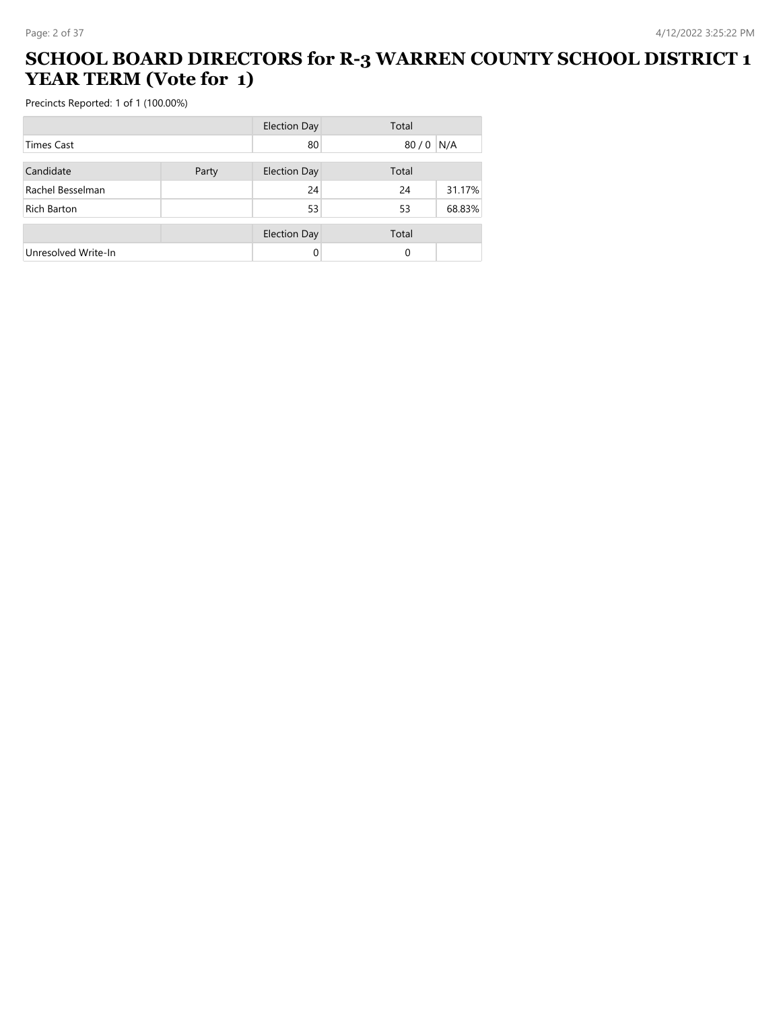#### **SCHOOL BOARD DIRECTORS for R-3 WARREN COUNTY SCHOOL DISTRICT 1 YEAR TERM (Vote for 1)**

|                     |       | <b>Election Day</b> | Total    |        |
|---------------------|-------|---------------------|----------|--------|
| <b>Times Cast</b>   |       | 80                  | 80/0 N/A |        |
| Candidate           | Party | <b>Election Day</b> | Total    |        |
| Rachel Besselman    |       | 24                  | 24       | 31.17% |
| Rich Barton         |       | 53                  | 53       | 68.83% |
|                     |       | <b>Election Day</b> | Total    |        |
| Unresolved Write-In |       |                     | $\Omega$ |        |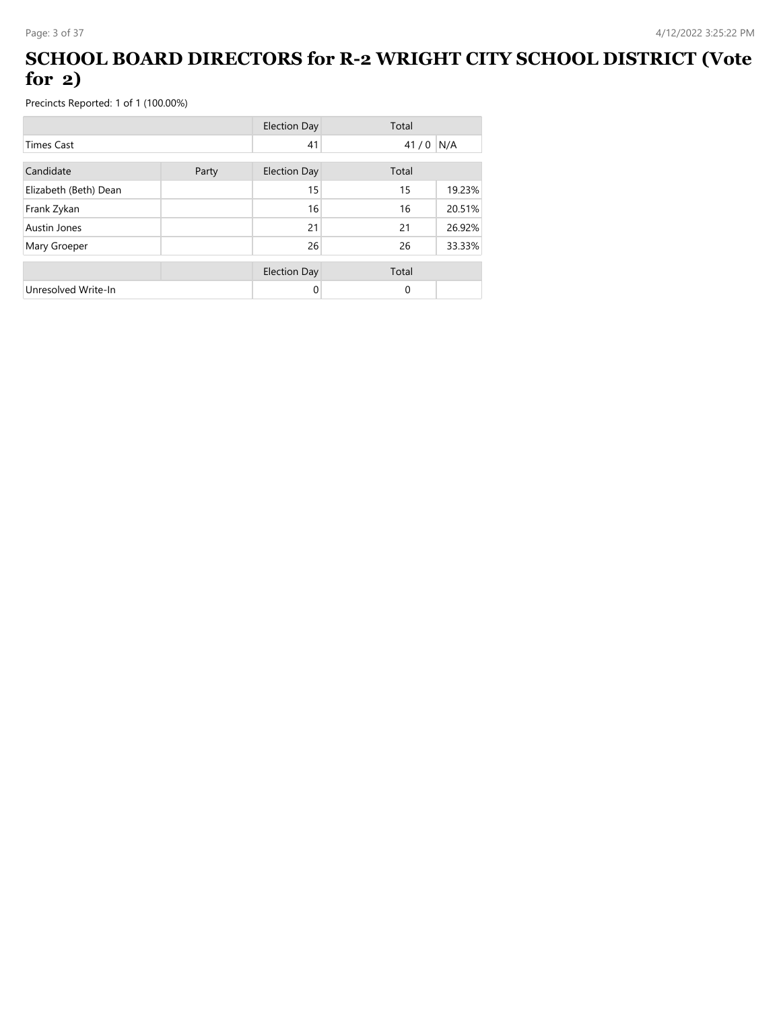#### **SCHOOL BOARD DIRECTORS for R-2 WRIGHT CITY SCHOOL DISTRICT (Vote for 2)**

|                       |       | <b>Election Day</b> | Total       |        |
|-----------------------|-------|---------------------|-------------|--------|
| <b>Times Cast</b>     |       | 41                  | 41/0        | N/A    |
| Candidate             | Party | Election Day        | Total       |        |
| Elizabeth (Beth) Dean |       | 15                  | 15          | 19.23% |
| Frank Zykan           |       | 16                  | 16          | 20.51% |
| Austin Jones          |       | 21                  | 21          | 26.92% |
| Mary Groeper          |       | 26                  | 26          | 33.33% |
|                       |       | <b>Election Day</b> | Total       |        |
| Unresolved Write-In   |       | 0                   | $\mathbf 0$ |        |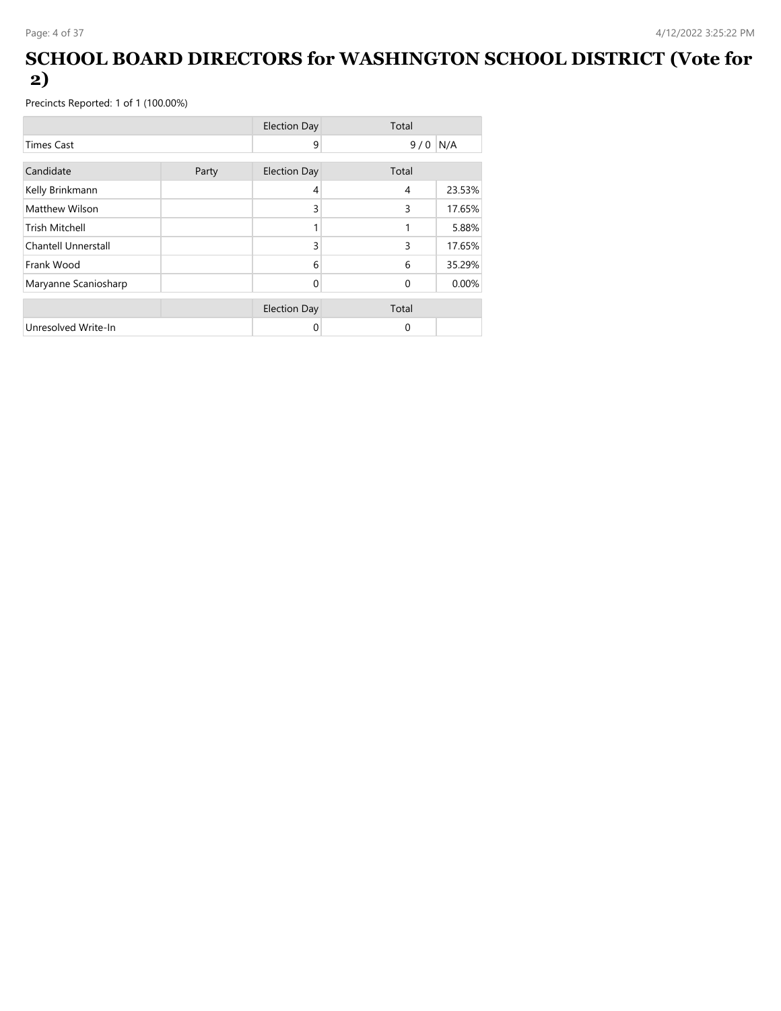#### **SCHOOL BOARD DIRECTORS for WASHINGTON SCHOOL DISTRICT (Vote for 2)**

|                       |       | <b>Election Day</b> | Total          |        |
|-----------------------|-------|---------------------|----------------|--------|
| <b>Times Cast</b>     |       | 9                   | 9/0            | N/A    |
| Candidate             | Party | <b>Election Day</b> | Total          |        |
| Kelly Brinkmann       |       | 4                   | $\overline{4}$ | 23.53% |
| Matthew Wilson        |       | 3                   | 3              | 17.65% |
| <b>Trish Mitchell</b> |       |                     | 1              | 5.88%  |
| Chantell Unnerstall   |       | 3                   | 3              | 17.65% |
| Frank Wood            |       | 6                   | 6              | 35.29% |
| Maryanne Scaniosharp  |       | 0                   | $\Omega$       | 0.00%  |
|                       |       | <b>Election Day</b> | Total          |        |
| Unresolved Write-In   |       | 0                   | 0              |        |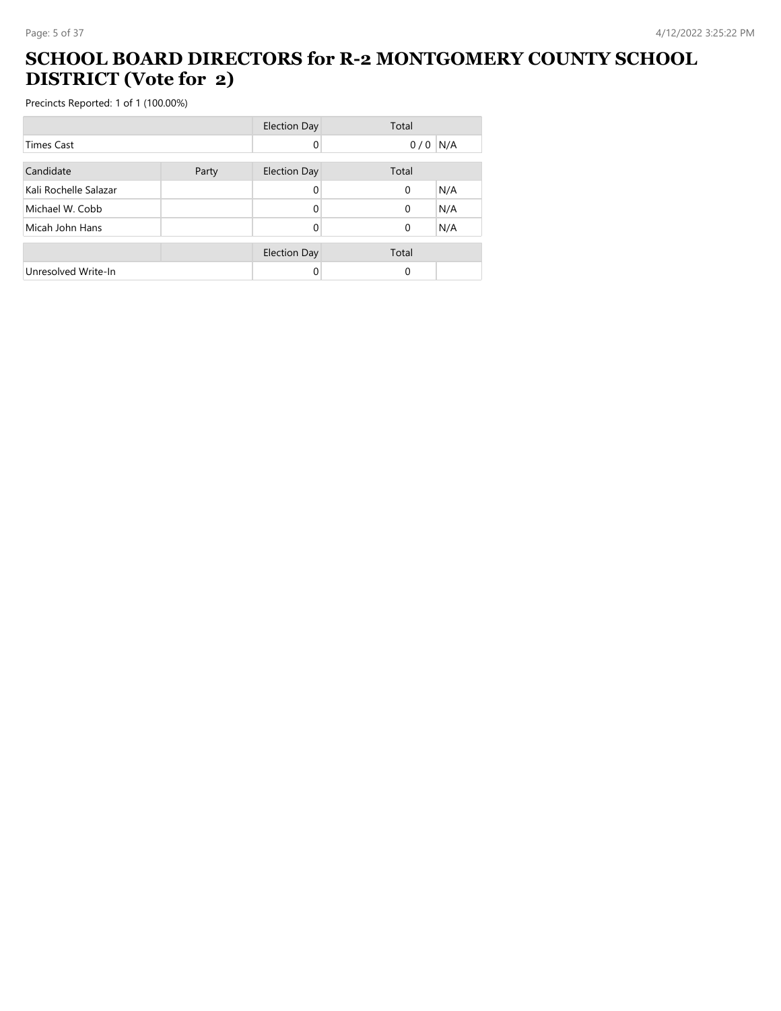#### **SCHOOL BOARD DIRECTORS for R-2 MONTGOMERY COUNTY SCHOOL DISTRICT (Vote for 2)**

|                       |       | <b>Election Day</b> | Total           |
|-----------------------|-------|---------------------|-----------------|
| <b>Times Cast</b>     |       | 0                   | N/A<br>0/0      |
| Candidate             | Party | <b>Election Day</b> | Total           |
| Kali Rochelle Salazar |       |                     | N/A<br>0        |
| Michael W. Cobb       |       | 0                   | N/A<br>$\Omega$ |
| Micah John Hans       |       | 0                   | N/A<br>0        |
|                       |       | <b>Election Day</b> | Total           |
| Unresolved Write-In   |       |                     | 0               |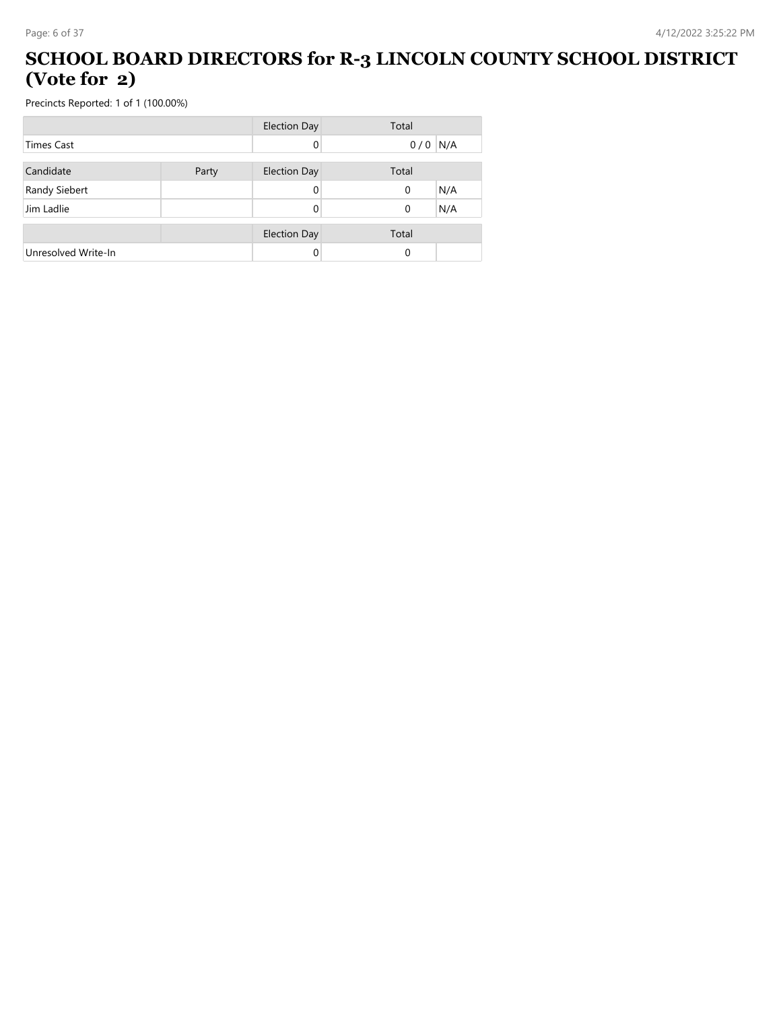#### **SCHOOL BOARD DIRECTORS for R-3 LINCOLN COUNTY SCHOOL DISTRICT (Vote for 2)**

|                     |       | <b>Election Day</b> | Total     |     |
|---------------------|-------|---------------------|-----------|-----|
| Times Cast          |       | 0                   | $0/0$ N/A |     |
| Candidate           | Party | <b>Election Day</b> | Total     |     |
| Randy Siebert       |       | 0                   | 0         | N/A |
| Jim Ladlie          |       | 0                   | 0         | N/A |
|                     |       | <b>Election Day</b> | Total     |     |
| Unresolved Write-In |       | 0                   | 0         |     |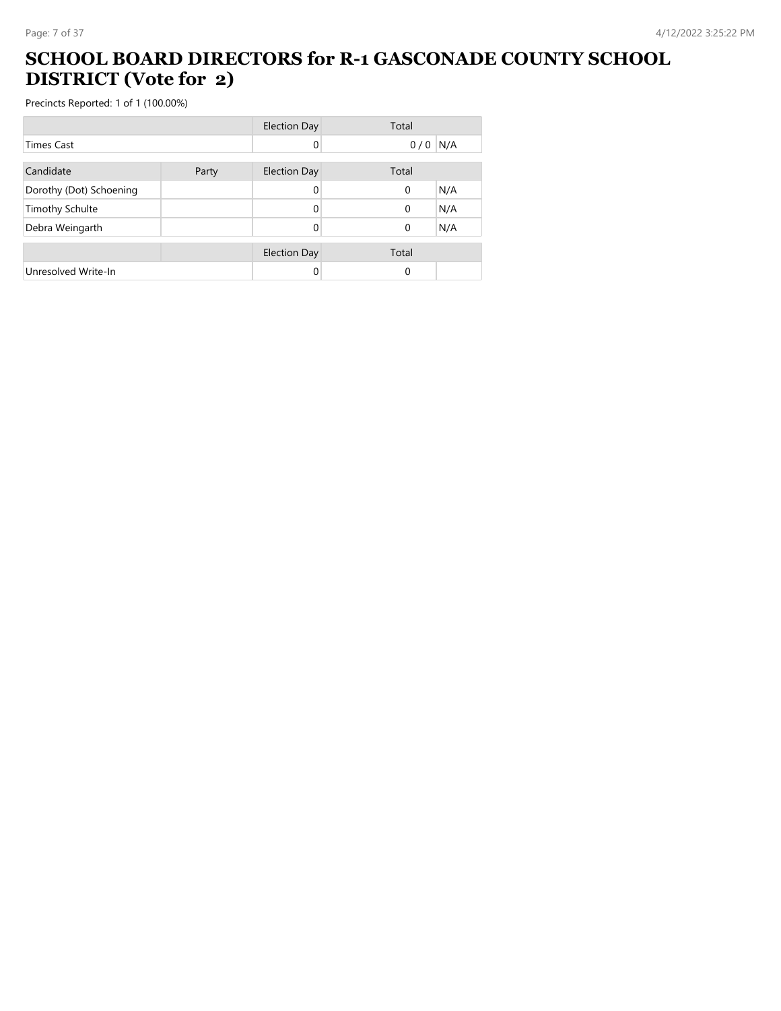#### **SCHOOL BOARD DIRECTORS for R-1 GASCONADE COUNTY SCHOOL DISTRICT (Vote for 2)**

|                         |       | <b>Election Day</b> | Total           |
|-------------------------|-------|---------------------|-----------------|
| <b>Times Cast</b>       |       |                     | N/A<br>0/0      |
| Candidate               | Party | <b>Election Day</b> | Total           |
| Dorothy (Dot) Schoening |       |                     | N/A<br>0        |
| <b>Timothy Schulte</b>  |       | 0                   | N/A<br>$\Omega$ |
| Debra Weingarth         |       | 0                   | N/A<br>0        |
|                         |       | <b>Election Day</b> | Total           |
| Unresolved Write-In     |       |                     | 0               |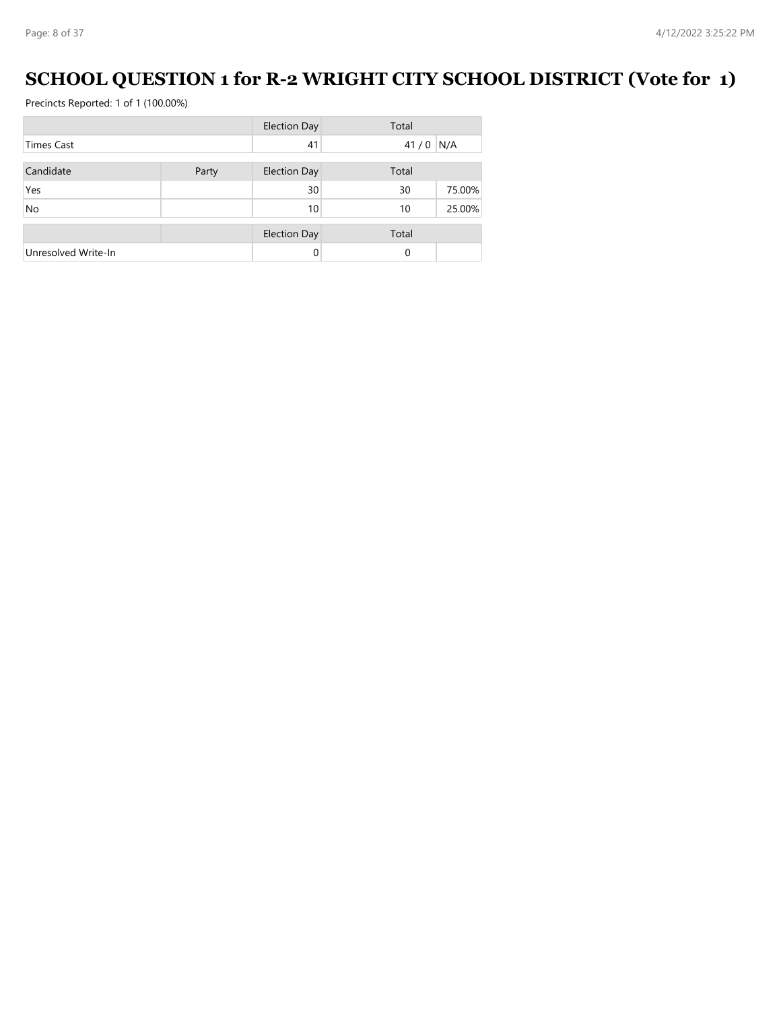# **SCHOOL QUESTION 1 for R-2 WRIGHT CITY SCHOOL DISTRICT (Vote for 1)**

|                     |       | <b>Election Day</b> | Total      |        |
|---------------------|-------|---------------------|------------|--------|
| <b>Times Cast</b>   |       | 41                  | $41/0$ N/A |        |
| Candidate           | Party | <b>Election Day</b> | Total      |        |
| Yes                 |       | 30                  | 30         | 75.00% |
| <b>No</b>           |       | 10                  | 10         | 25.00% |
|                     |       | <b>Election Day</b> | Total      |        |
| Unresolved Write-In |       |                     | $\Omega$   |        |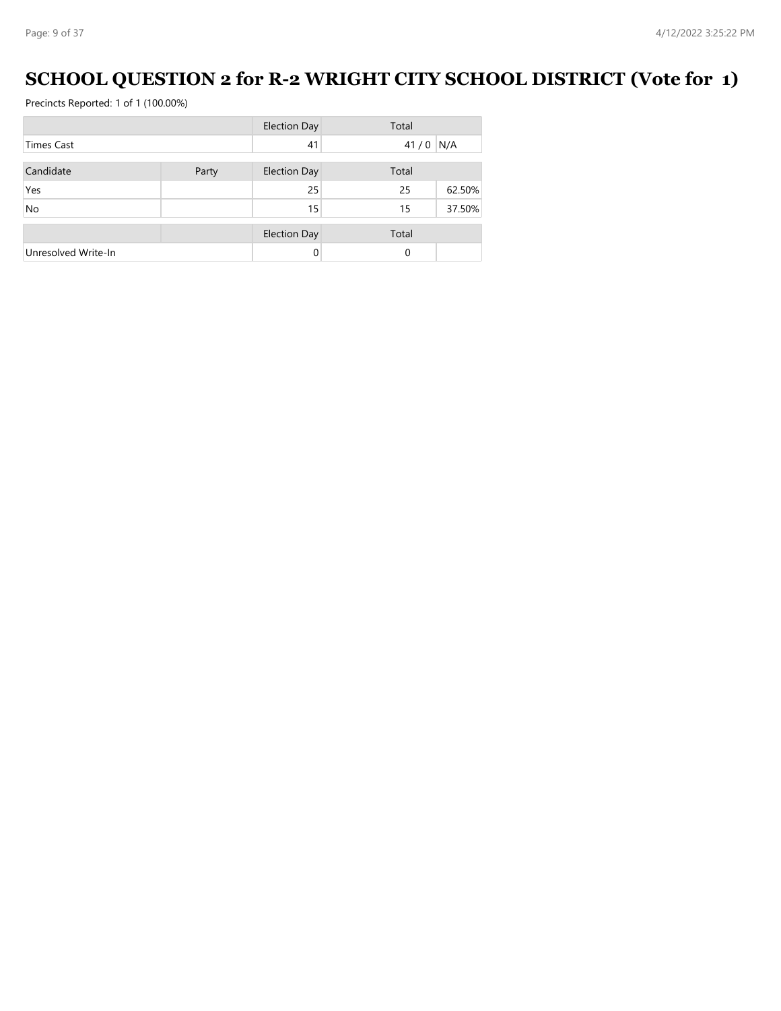# **SCHOOL QUESTION 2 for R-2 WRIGHT CITY SCHOOL DISTRICT (Vote for 1)**

|                     |       | <b>Election Day</b> | Total    |        |
|---------------------|-------|---------------------|----------|--------|
| <b>Times Cast</b>   |       | 41                  | 41/0     | N/A    |
| Candidate           | Party | <b>Election Day</b> | Total    |        |
| Yes                 |       | 25                  | 25       | 62.50% |
| <b>No</b>           |       | 15                  | 15       | 37.50% |
|                     |       | <b>Election Day</b> | Total    |        |
| Unresolved Write-In |       | 0                   | $\Omega$ |        |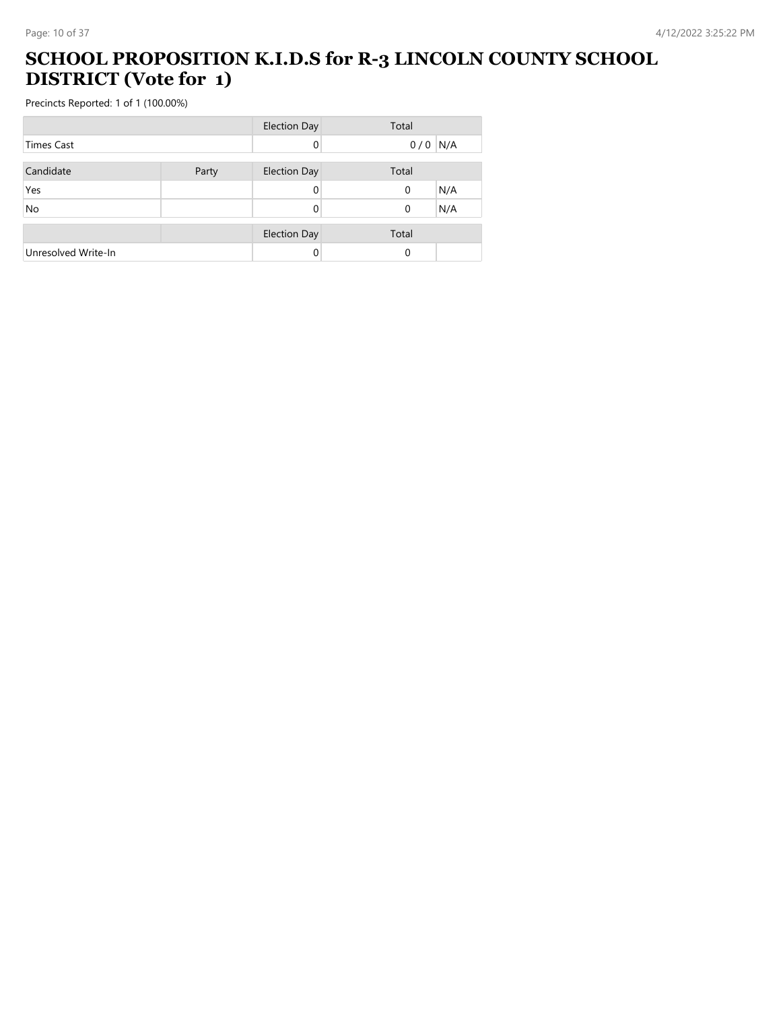#### **SCHOOL PROPOSITION K.I.D.S for R-3 LINCOLN COUNTY SCHOOL DISTRICT (Vote for 1)**

|                     |       | <b>Election Day</b> | Total              |
|---------------------|-------|---------------------|--------------------|
| <b>Times Cast</b>   |       | 0                   | N/A<br>0/0         |
| Candidate           | Party | <b>Election Day</b> | Total              |
| Yes                 |       | 0                   | N/A<br>$\mathbf 0$ |
| No                  |       |                     | N/A<br>0           |
|                     |       | <b>Election Day</b> | Total              |
| Unresolved Write-In |       | 0                   | $\Omega$           |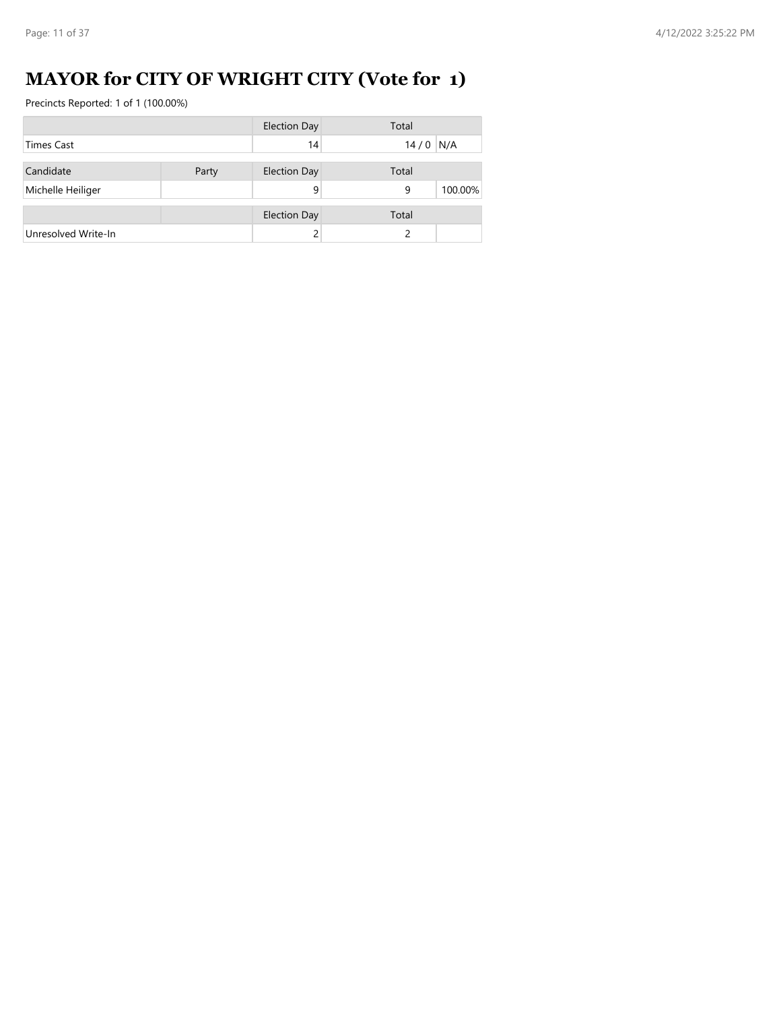# **MAYOR for CITY OF WRIGHT CITY (Vote for 1)**

|                     |       | <b>Election Day</b> | Total        |
|---------------------|-------|---------------------|--------------|
| <b>Times Cast</b>   |       | 14                  | $14/0$ N/A   |
| Candidate           | Party | <b>Election Day</b> | Total        |
| Michelle Heiliger   |       | 9                   | 100.00%<br>9 |
|                     |       | <b>Election Day</b> | Total        |
| Unresolved Write-In |       |                     |              |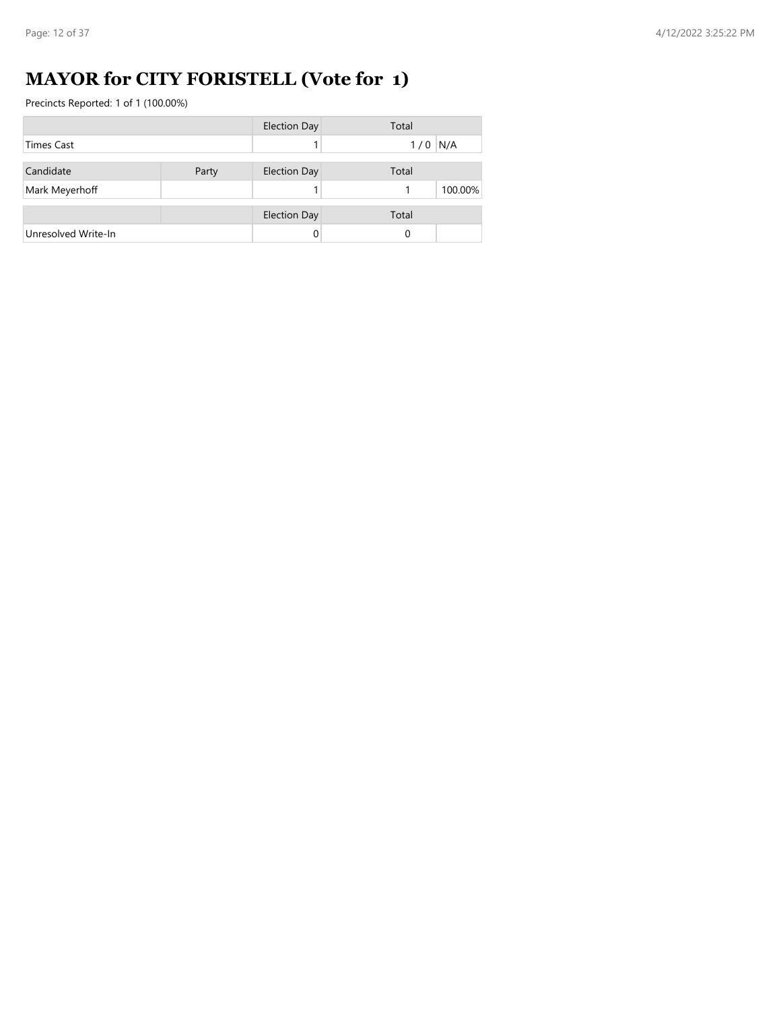# **MAYOR for CITY FORISTELL (Vote for 1)**

|                     |       | <b>Election Day</b> | Total     |
|---------------------|-------|---------------------|-----------|
| Times Cast          |       |                     | $1/0$ N/A |
| Candidate           | Party | <b>Election Day</b> | Total     |
| Mark Meyerhoff      |       |                     | 100.00%   |
|                     |       | <b>Election Day</b> | Total     |
| Unresolved Write-In |       |                     | 0         |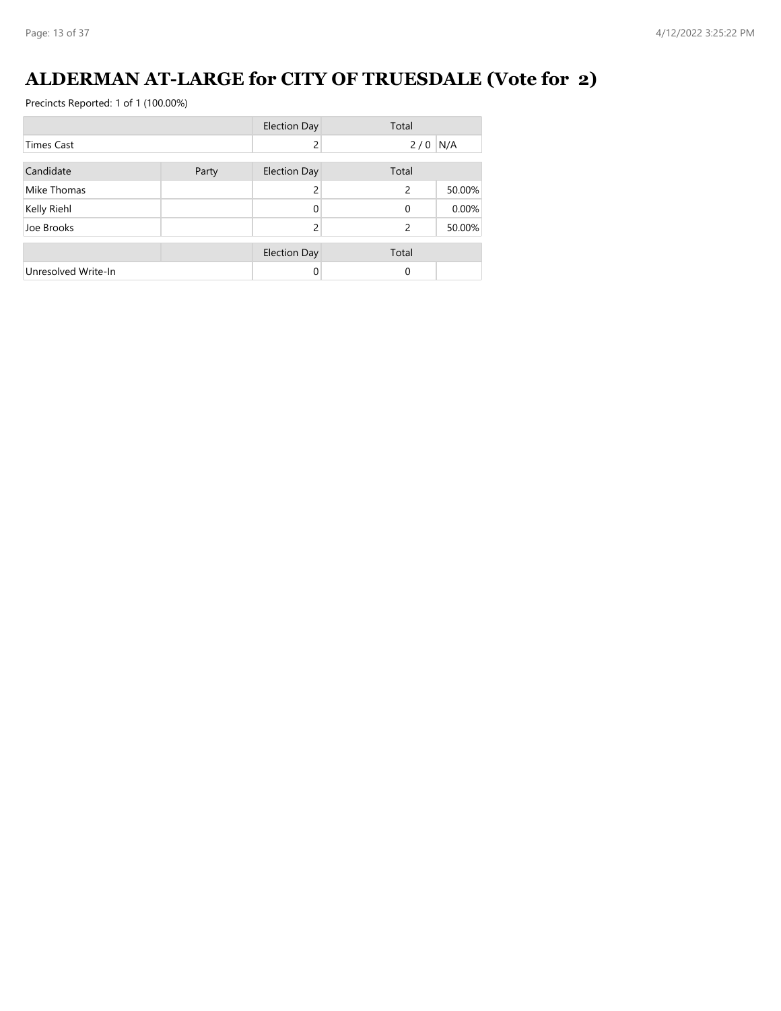# **ALDERMAN AT-LARGE for CITY OF TRUESDALE (Vote for 2)**

|                     |       | <b>Election Day</b> | Total                    |        |
|---------------------|-------|---------------------|--------------------------|--------|
| Times Cast          |       | 2                   | 2/0                      | N/A    |
| Candidate           | Party | <b>Election Day</b> | Total                    |        |
| Mike Thomas         |       | 2                   | $\overline{\phantom{0}}$ | 50.00% |
| Kelly Riehl         |       | 0                   | $\Omega$                 | 0.00%  |
| Joe Brooks          |       | 2                   | 2                        | 50.00% |
|                     |       | <b>Election Day</b> | Total                    |        |
| Unresolved Write-In |       | 0                   | $\Omega$                 |        |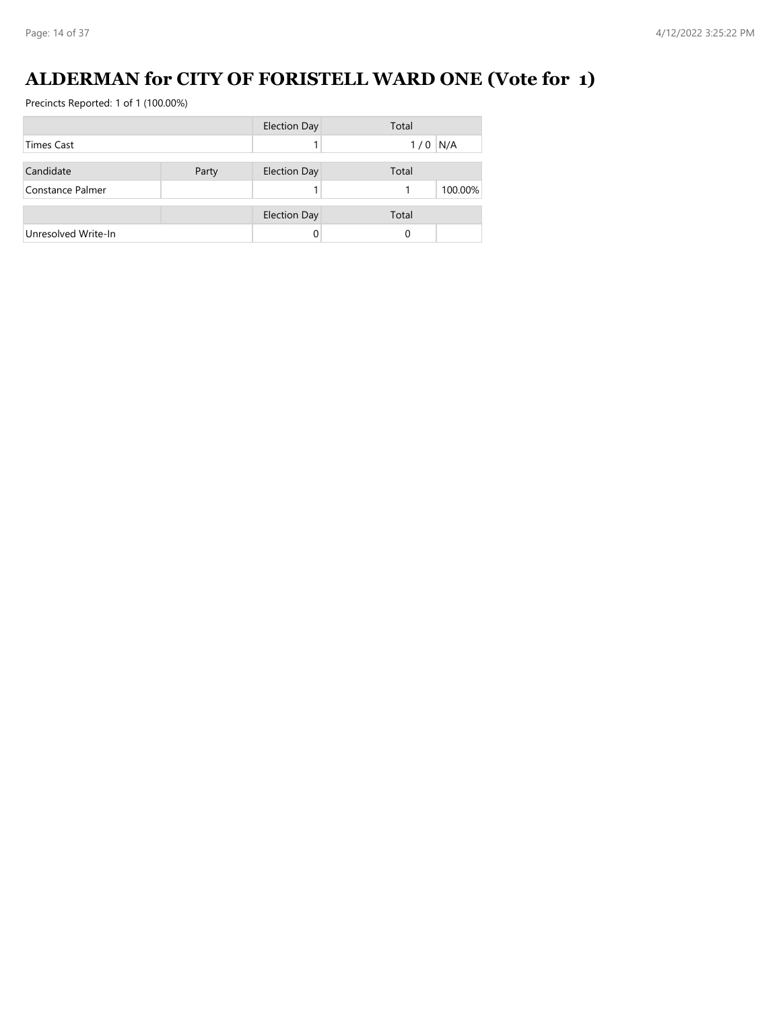# **ALDERMAN for CITY OF FORISTELL WARD ONE (Vote for 1)**

|                     |       | <b>Election Day</b> | Total      |
|---------------------|-------|---------------------|------------|
| <b>Times Cast</b>   |       |                     | N/A<br>1/0 |
| Candidate           | Party | <b>Election Day</b> | Total      |
| Constance Palmer    |       |                     | 100.00%    |
|                     |       | <b>Election Day</b> | Total      |
| Unresolved Write-In |       |                     | 0          |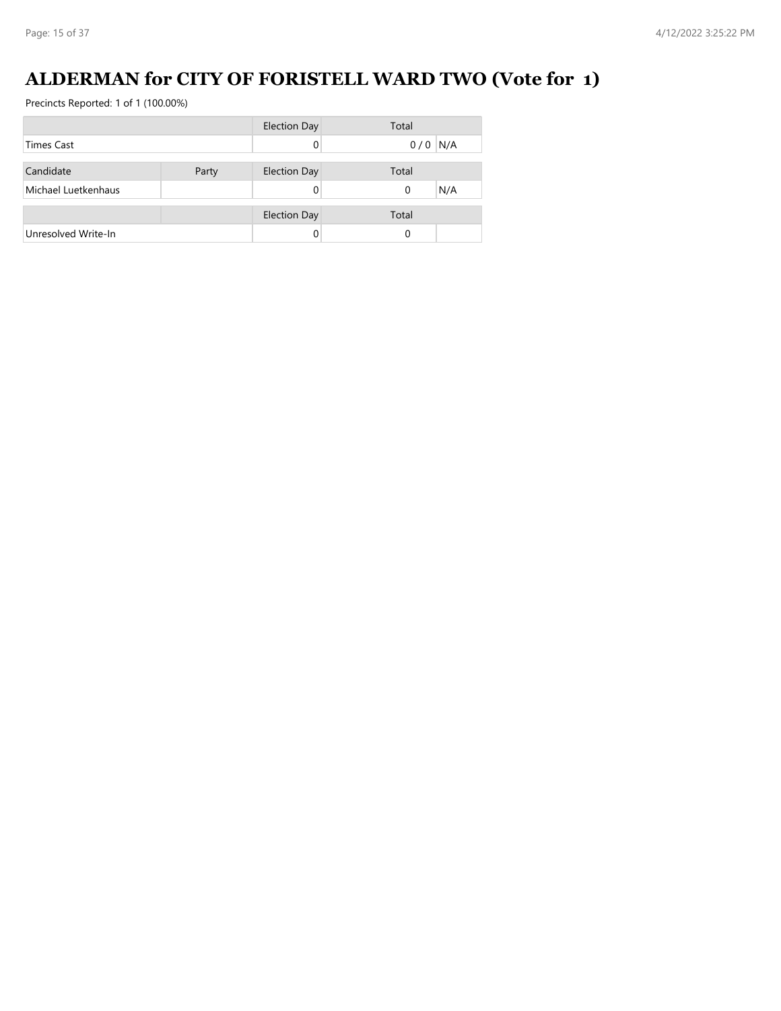# **ALDERMAN for CITY OF FORISTELL WARD TWO (Vote for 1)**

|                     |       | Election Day        | Total     |
|---------------------|-------|---------------------|-----------|
| <b>Times Cast</b>   |       |                     | $0/0$ N/A |
| Candidate           | Party | <b>Election Day</b> | Total     |
|                     |       |                     |           |
| Michael Luetkenhaus |       |                     | N/A<br>0  |
|                     |       | <b>Election Day</b> | Total     |
| Unresolved Write-In |       |                     | 0         |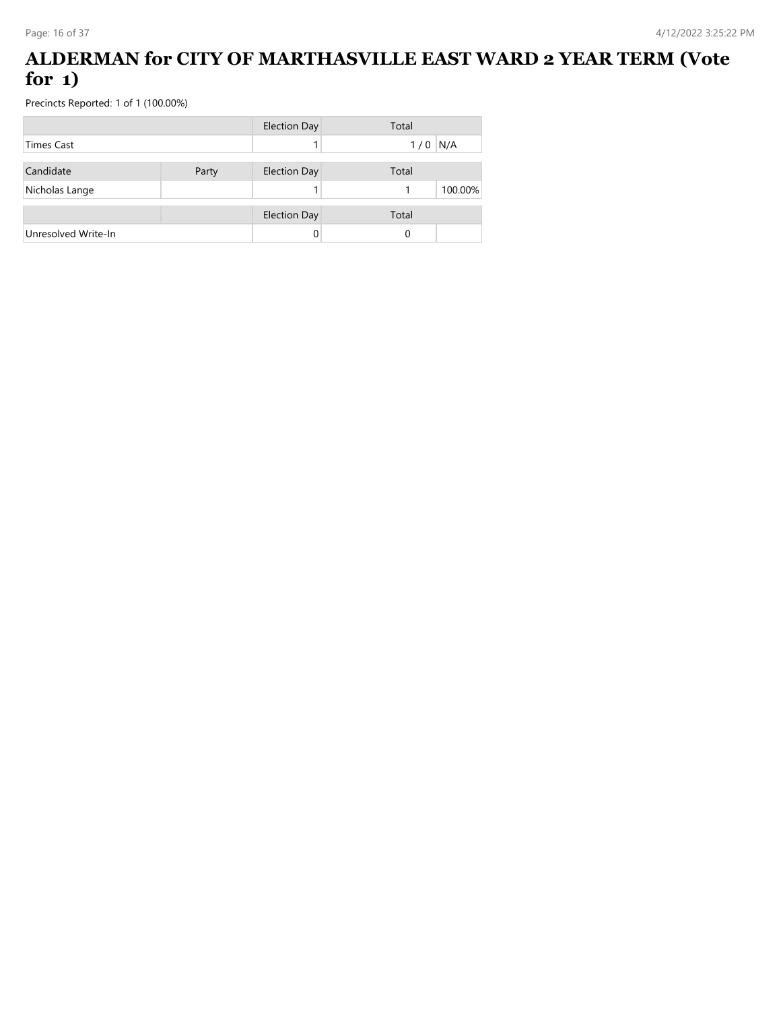#### **ALDERMAN for CITY OF MARTHASVILLE EAST WARD 2 YEAR TERM (Vote for 1)**

|                     |       | <b>Election Day</b> | Total      |
|---------------------|-------|---------------------|------------|
| <b>Times Cast</b>   |       |                     | N/A<br>1/0 |
| Candidate           | Party | <b>Election Day</b> | Total      |
| Nicholas Lange      |       |                     | 100.00%    |
|                     |       | <b>Election Day</b> | Total      |
| Unresolved Write-In |       |                     | 0          |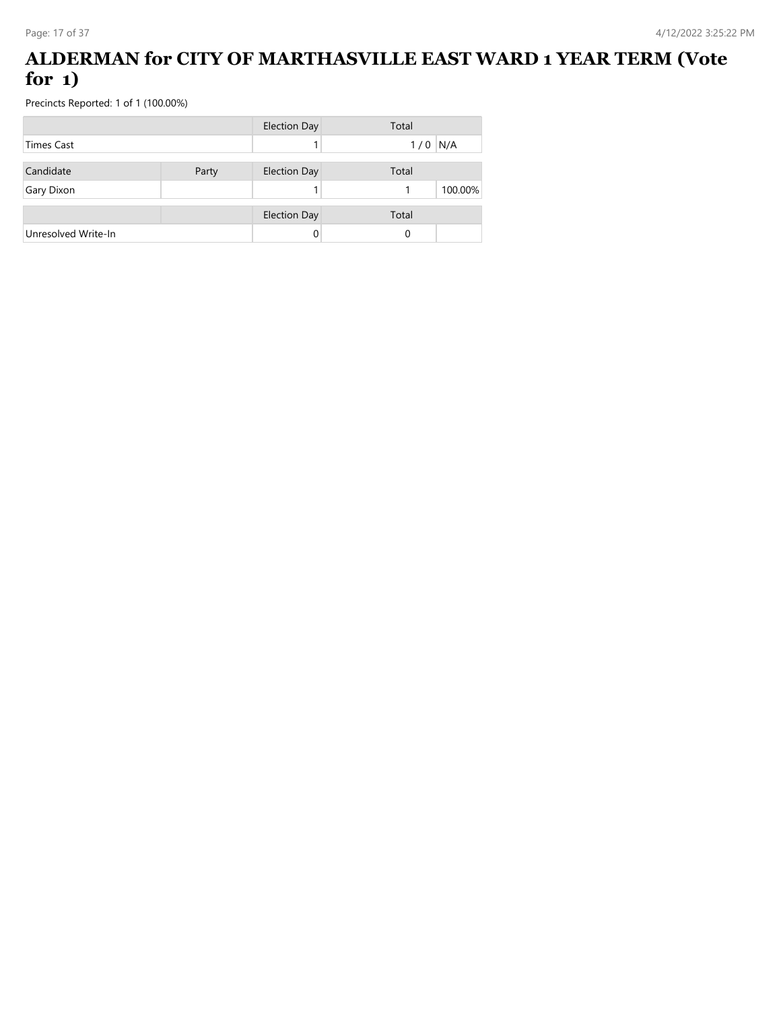#### **ALDERMAN for CITY OF MARTHASVILLE EAST WARD 1 YEAR TERM (Vote for 1)**

|                     |       | <b>Election Day</b> | Total      |
|---------------------|-------|---------------------|------------|
| <b>Times Cast</b>   |       |                     | N/A<br>1/0 |
| Candidate           | Party | <b>Election Day</b> | Total      |
| Gary Dixon          |       |                     | 100.00%    |
|                     |       | <b>Election Day</b> | Total      |
| Unresolved Write-In |       |                     | 0          |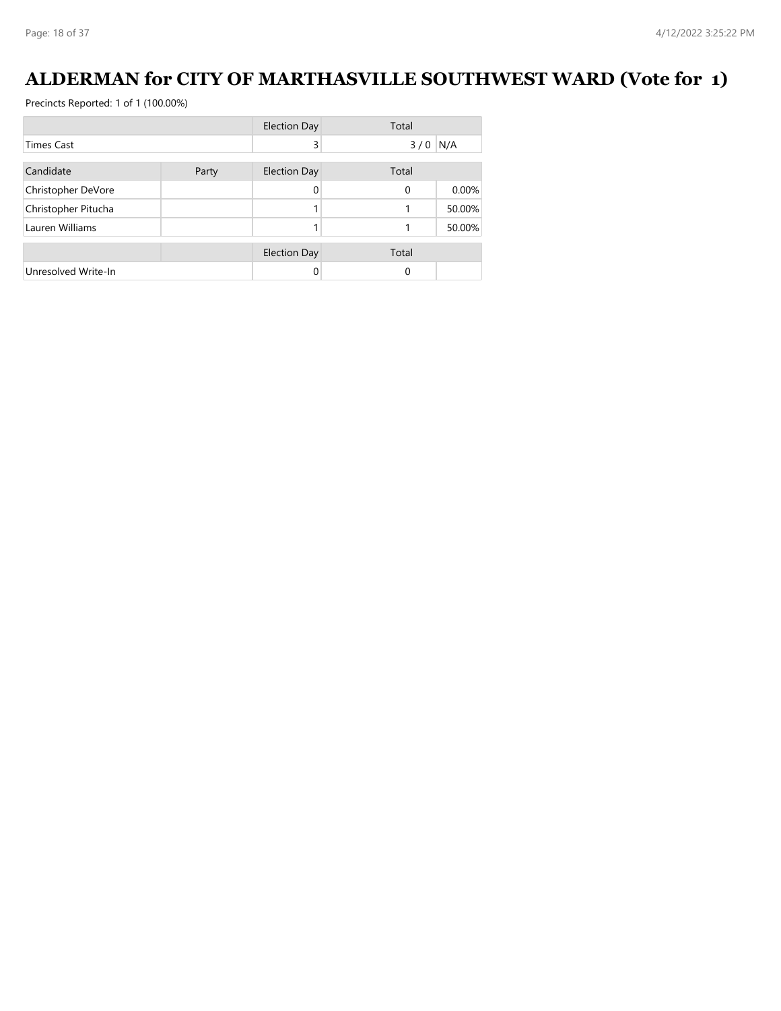# **ALDERMAN for CITY OF MARTHASVILLE SOUTHWEST WARD (Vote for 1)**

|                     |       | <b>Election Day</b> | Total    |        |
|---------------------|-------|---------------------|----------|--------|
| Times Cast          |       | 3                   | 3/0      | N/A    |
| Candidate           | Party | <b>Election Day</b> | Total    |        |
| Christopher DeVore  |       | 0                   | $\Omega$ | 0.00%  |
| Christopher Pitucha |       |                     |          | 50.00% |
| Lauren Williams     |       |                     |          | 50.00% |
|                     |       | <b>Election Day</b> | Total    |        |
| Unresolved Write-In |       | 0                   | $\Omega$ |        |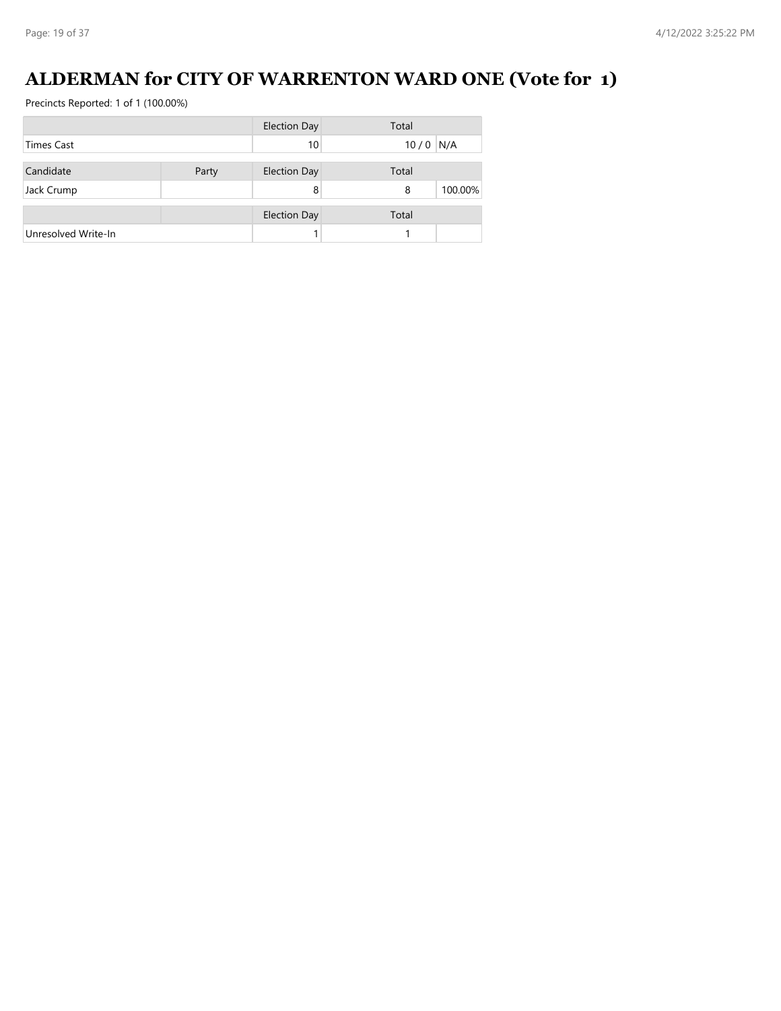# **ALDERMAN for CITY OF WARRENTON WARD ONE (Vote for 1)**

|                     |       | <b>Election Day</b> | Total        |
|---------------------|-------|---------------------|--------------|
| <b>Times Cast</b>   |       | 10                  | N/A<br>10/0  |
| Candidate           | Party | <b>Election Day</b> | Total        |
| Jack Crump          |       | 8                   | 100.00%<br>8 |
|                     |       | <b>Election Day</b> | Total        |
| Unresolved Write-In |       |                     |              |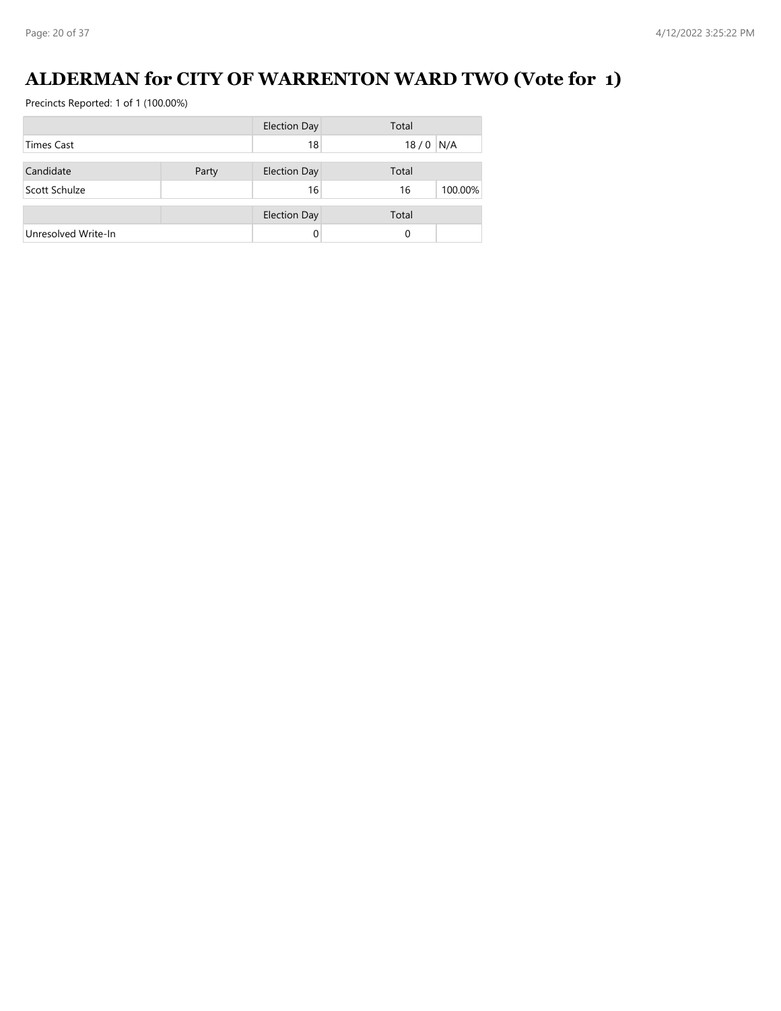# **ALDERMAN for CITY OF WARRENTON WARD TWO (Vote for 1)**

|                     |       | <b>Election Day</b> | Total         |
|---------------------|-------|---------------------|---------------|
| <b>Times Cast</b>   |       | 18                  | N/A<br>18/0   |
| Candidate           | Party | <b>Election Day</b> | Total         |
| Scott Schulze       |       | 16                  | 100.00%<br>16 |
|                     |       |                     | Total         |
|                     |       | <b>Election Day</b> |               |
| Unresolved Write-In |       | 0                   | 0             |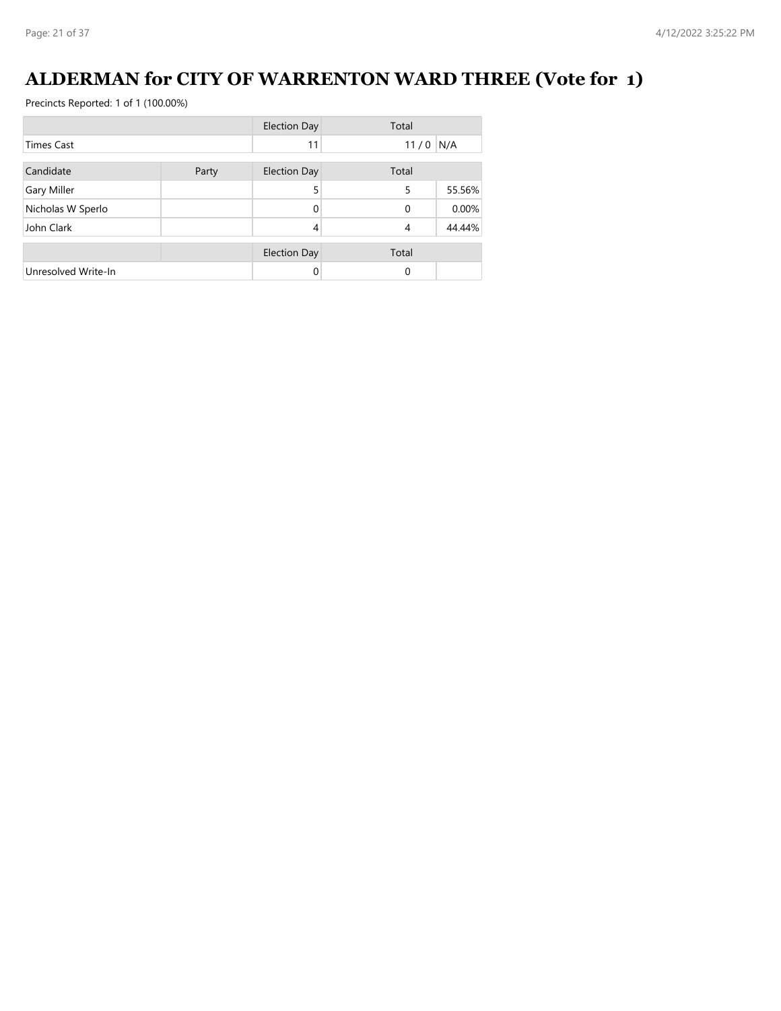# **ALDERMAN for CITY OF WARRENTON WARD THREE (Vote for 1)**

|                     |       | <b>Election Day</b> | Total      |        |
|---------------------|-------|---------------------|------------|--------|
| Times Cast          |       | 11                  | $11/0$ N/A |        |
| Candidate           | Party | <b>Election Day</b> | Total      |        |
| <b>Gary Miller</b>  |       | 5                   | 5          | 55.56% |
| Nicholas W Sperlo   |       | 0                   | $\Omega$   | 0.00%  |
| John Clark          |       | 4                   | 4          | 44.44% |
|                     |       | <b>Election Day</b> | Total      |        |
| Unresolved Write-In |       |                     | $\Omega$   |        |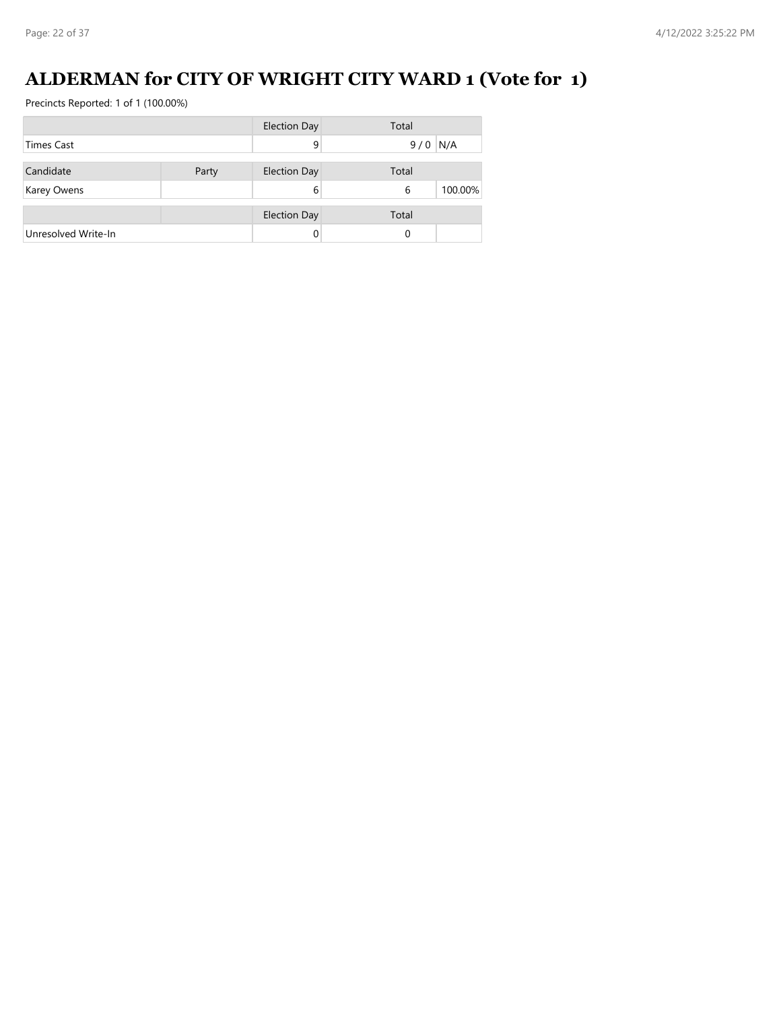# **ALDERMAN for CITY OF WRIGHT CITY WARD 1 (Vote for 1)**

|                     |       | <b>Election Day</b> | Total        |
|---------------------|-------|---------------------|--------------|
| <b>Times Cast</b>   |       | 9                   | N/A<br>9/0   |
| Candidate           | Party | <b>Election Day</b> | Total        |
| <b>Karey Owens</b>  |       | 6                   | 100.00%<br>6 |
|                     |       | <b>Election Day</b> | Total        |
| Unresolved Write-In |       |                     | 0            |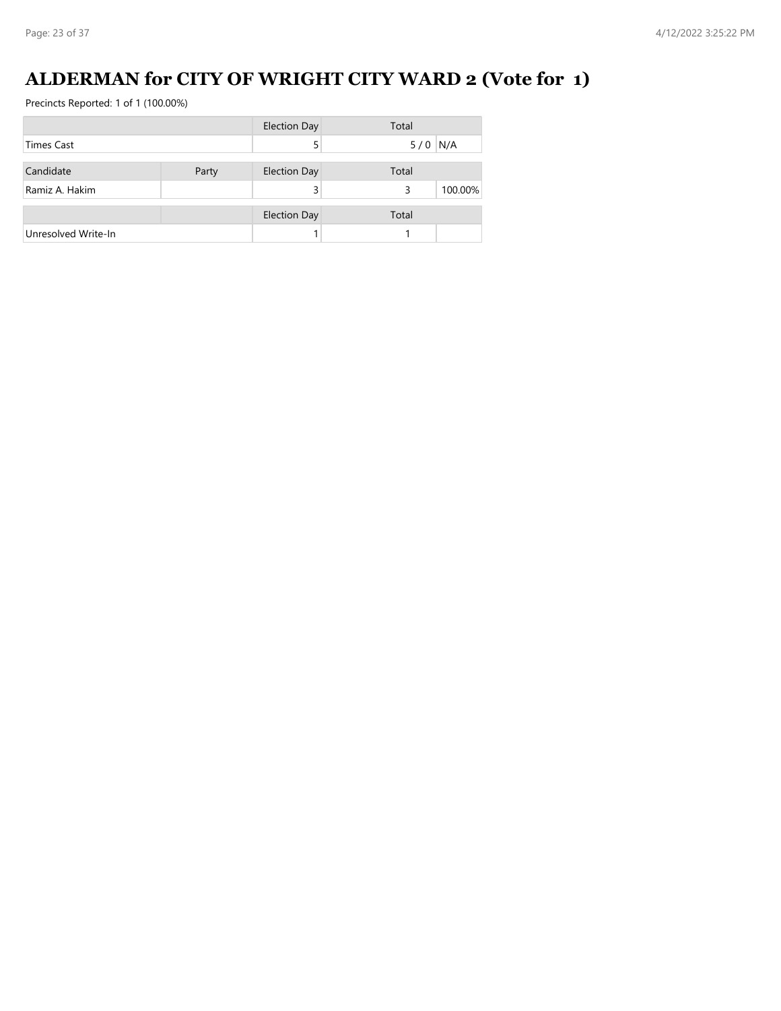# **ALDERMAN for CITY OF WRIGHT CITY WARD 2 (Vote for 1)**

|                     |       | <b>Election Day</b> | Total        |
|---------------------|-------|---------------------|--------------|
| <b>Times Cast</b>   |       |                     | $5/0$ N/A    |
| Candidate           | Party | <b>Election Day</b> | Total        |
| Ramiz A. Hakim      |       |                     | 100.00%<br>3 |
|                     |       | <b>Election Day</b> | Total        |
| Unresolved Write-In |       |                     |              |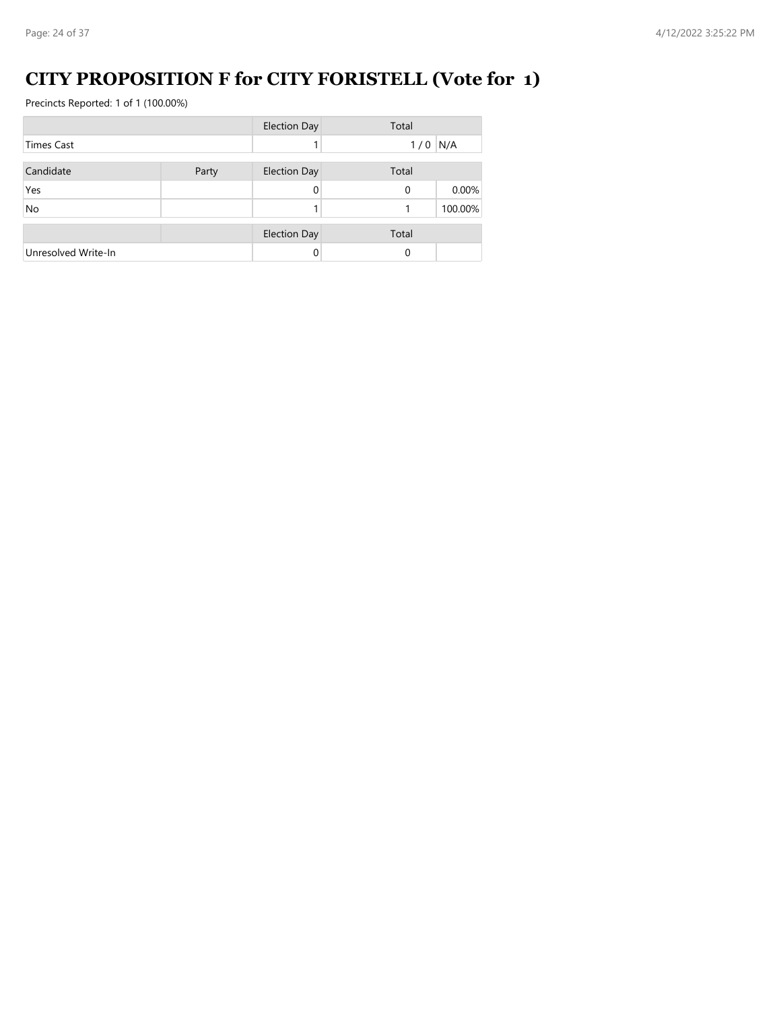# **CITY PROPOSITION F for CITY FORISTELL (Vote for 1)**

|                     |       | <b>Election Day</b> | Total     |         |
|---------------------|-------|---------------------|-----------|---------|
| Times Cast          |       |                     | $1/0$ N/A |         |
| Candidate           | Party | <b>Election Day</b> | Total     |         |
| Yes                 |       | 0                   | $\Omega$  | 0.00%   |
| No                  |       |                     |           | 100.00% |
|                     |       | <b>Election Day</b> | Total     |         |
| Unresolved Write-In |       |                     | 0         |         |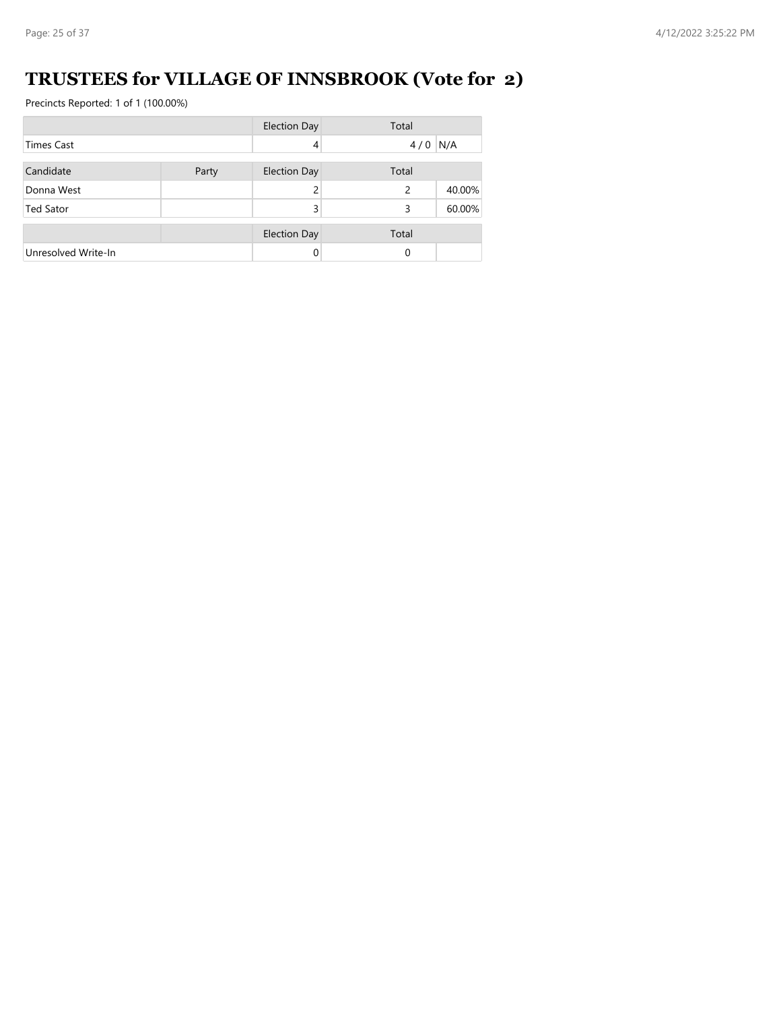# **TRUSTEES for VILLAGE OF INNSBROOK (Vote for 2)**

|                     |       | <b>Election Day</b> | Total     |        |
|---------------------|-------|---------------------|-----------|--------|
| <b>Times Cast</b>   |       | 4                   | $4/0$ N/A |        |
| Candidate           | Party | <b>Election Day</b> | Total     |        |
| Donna West          |       |                     | 2         | 40.00% |
| <b>Ted Sator</b>    |       | 3                   | 3         | 60.00% |
|                     |       | <b>Election Day</b> | Total     |        |
| Unresolved Write-In |       |                     | $\Omega$  |        |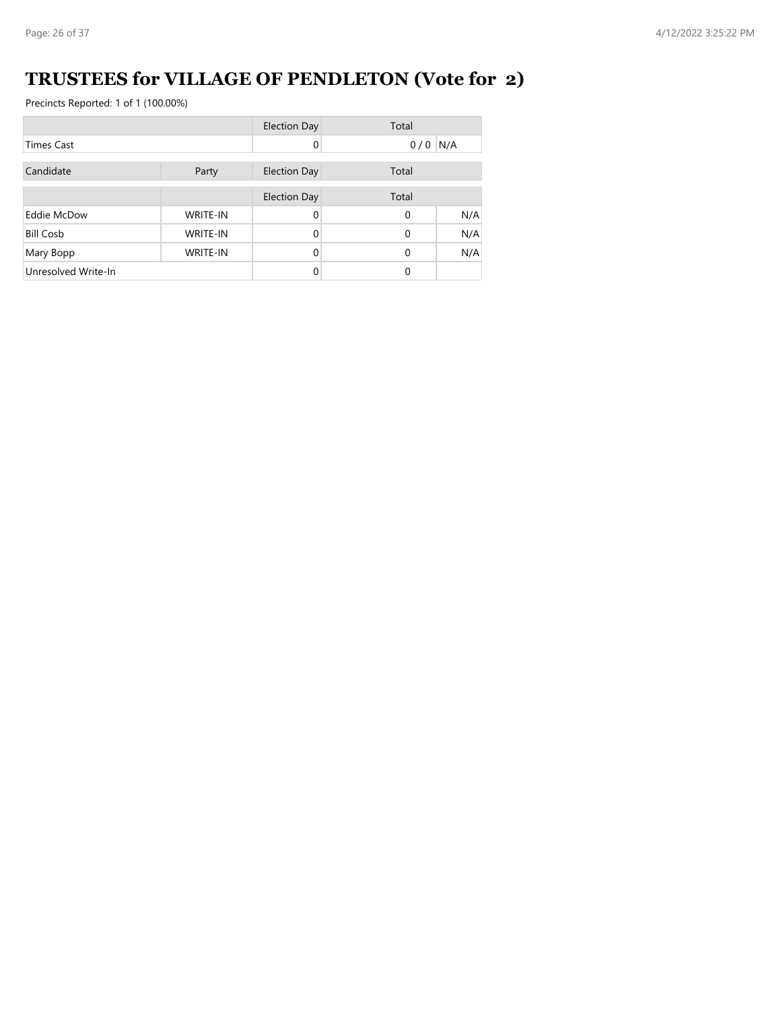# **TRUSTEES for VILLAGE OF PENDLETON (Vote for 2)**

|                     |                 | <b>Election Day</b> | Total     |     |
|---------------------|-----------------|---------------------|-----------|-----|
| <b>Times Cast</b>   |                 | 0                   | $0/0$ N/A |     |
| Candidate           | Party           | <b>Election Day</b> | Total     |     |
|                     |                 | <b>Election Day</b> | Total     |     |
| Eddie McDow         | <b>WRITE-IN</b> | 0                   | $\Omega$  | N/A |
| <b>Bill Cosb</b>    | <b>WRITE-IN</b> | 0                   | $\Omega$  | N/A |
| Mary Bopp           | <b>WRITE-IN</b> | 0                   | $\Omega$  | N/A |
| Unresolved Write-In |                 |                     | $\Omega$  |     |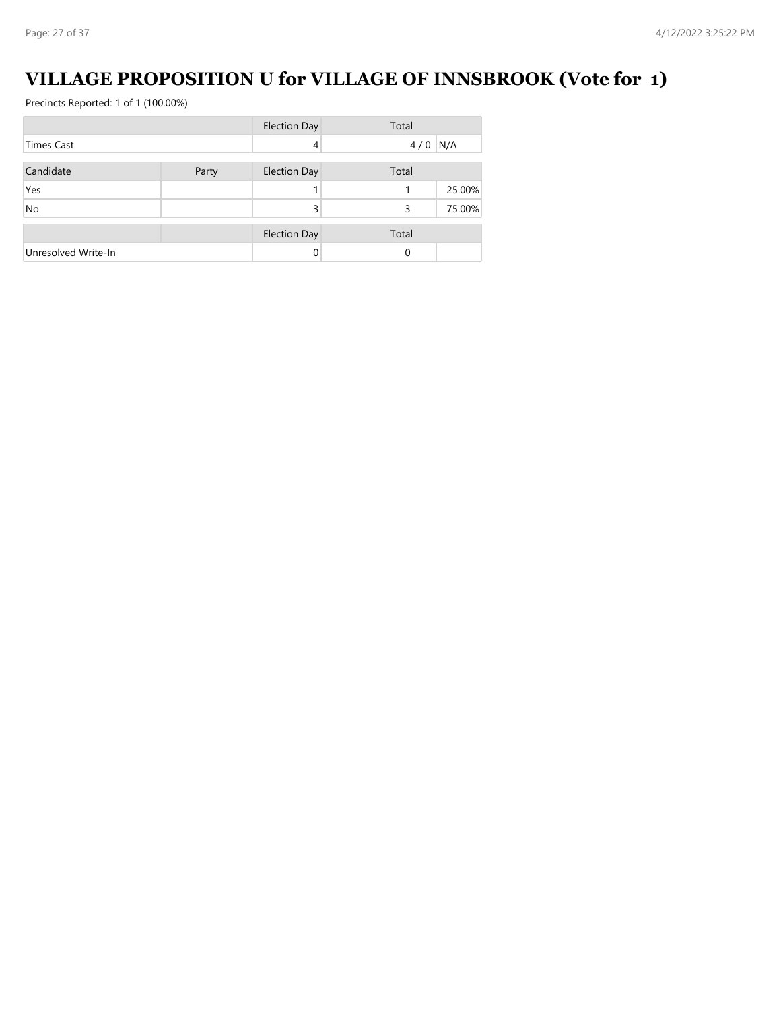# **VILLAGE PROPOSITION U for VILLAGE OF INNSBROOK (Vote for 1)**

|                     |       | <b>Election Day</b> | Total     |        |
|---------------------|-------|---------------------|-----------|--------|
| <b>Times Cast</b>   |       | 4                   | $4/0$ N/A |        |
| Candidate           | Party | <b>Election Day</b> | Total     |        |
| Yes                 |       |                     |           | 25.00% |
| <b>No</b>           |       | 3                   | 3         | 75.00% |
|                     |       | <b>Election Day</b> | Total     |        |
| Unresolved Write-In |       |                     | $\Omega$  |        |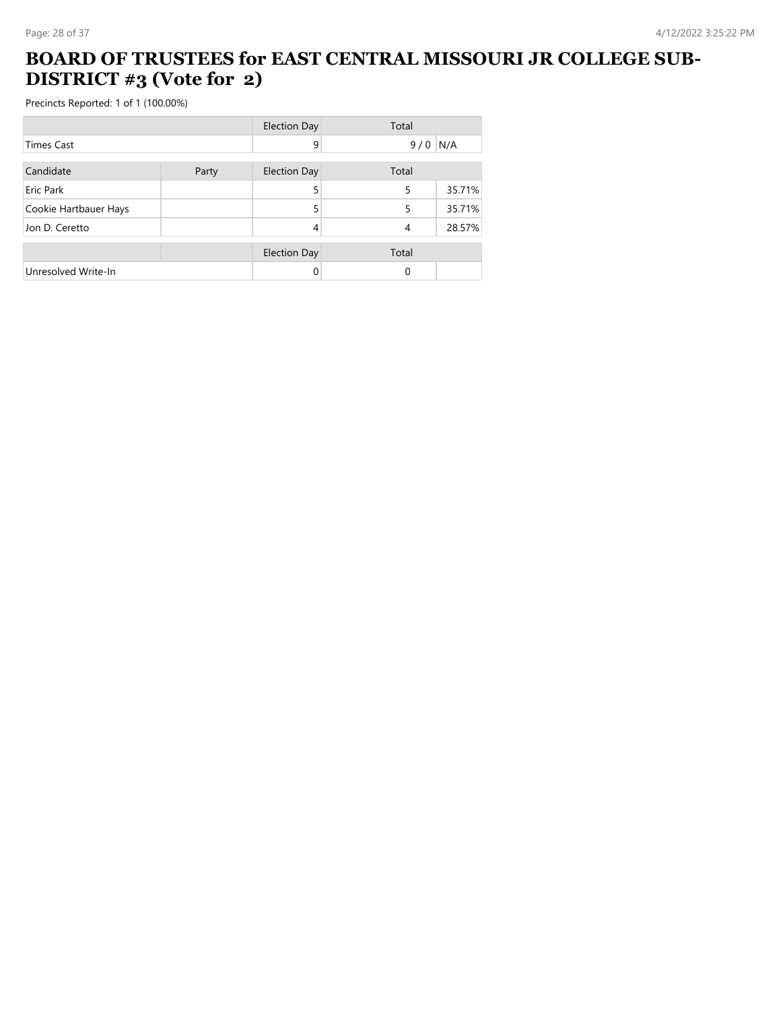#### **BOARD OF TRUSTEES for EAST CENTRAL MISSOURI JR COLLEGE SUB-DISTRICT #3 (Vote for 2)**

|                       |       | <b>Election Day</b> | Total |        |
|-----------------------|-------|---------------------|-------|--------|
| <b>Times Cast</b>     |       | 9                   | 9/0   | N/A    |
| Candidate             | Party | <b>Election Day</b> | Total |        |
| Eric Park             |       | 5                   | 5     | 35.71% |
| Cookie Hartbauer Hays |       | 5                   | 5     | 35.71% |
| Jon D. Ceretto        |       | 4                   | 4     | 28.57% |
|                       |       | <b>Election Day</b> | Total |        |
| Unresolved Write-In   |       | 0                   | 0     |        |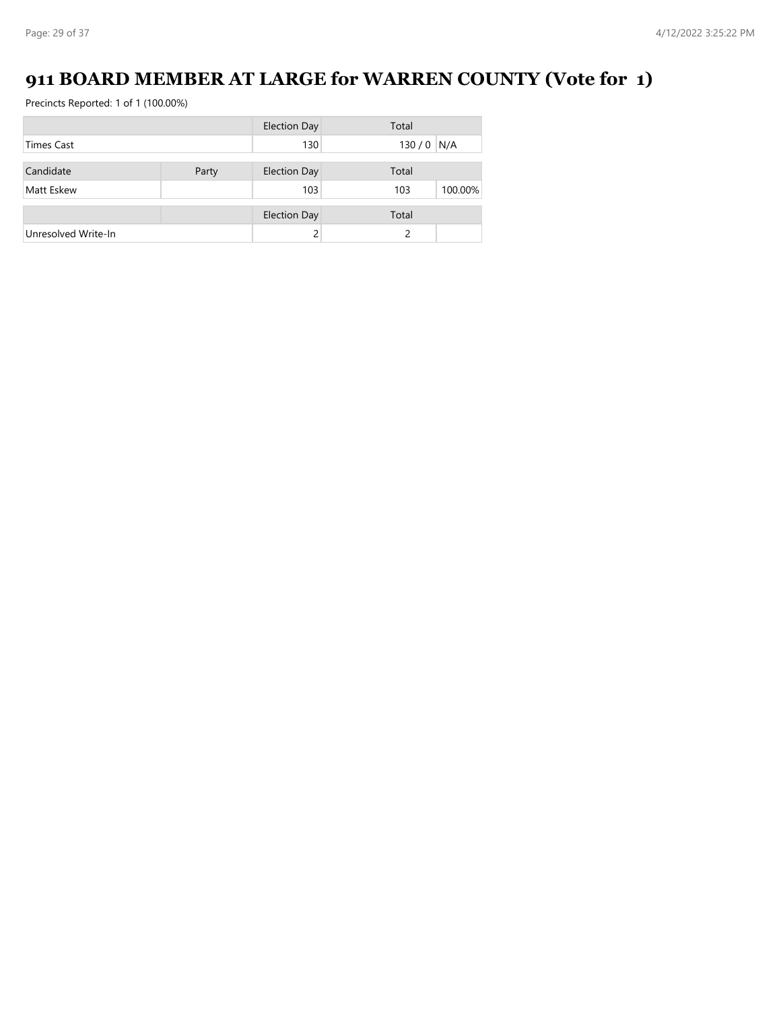# **911 BOARD MEMBER AT LARGE for WARREN COUNTY (Vote for 1)**

|                     |       | <b>Election Day</b> | Total          |
|---------------------|-------|---------------------|----------------|
| <b>Times Cast</b>   |       | 130                 | 130/0<br>N/A   |
| Candidate           | Party | <b>Election Day</b> | Total          |
| Matt Eskew          |       | 103                 | 100.00%<br>103 |
|                     |       | <b>Election Day</b> | Total          |
| Unresolved Write-In |       |                     |                |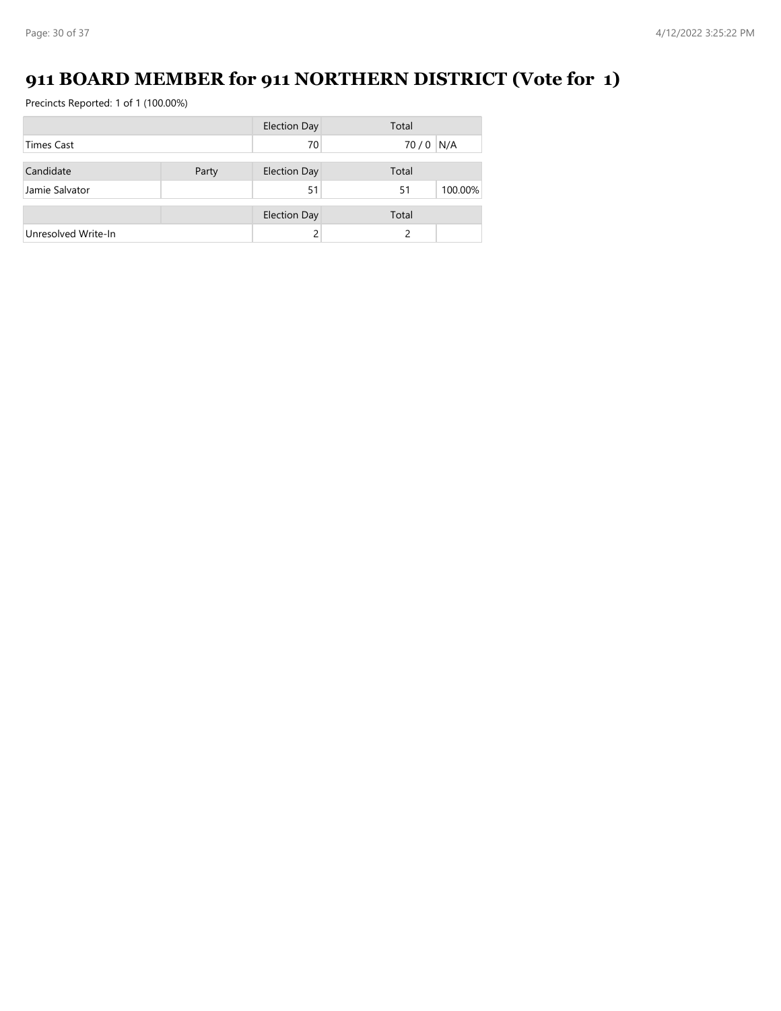# **911 BOARD MEMBER for 911 NORTHERN DISTRICT (Vote for 1)**

|                     |       | <b>Election Day</b> | Total         |
|---------------------|-------|---------------------|---------------|
| <b>Times Cast</b>   |       | 70                  | N/A<br>70/0   |
| Candidate           | Party | <b>Election Day</b> | Total         |
| Jamie Salvator      |       | 51                  | 100.00%<br>51 |
|                     |       | <b>Election Day</b> | Total         |
| Unresolved Write-In |       |                     |               |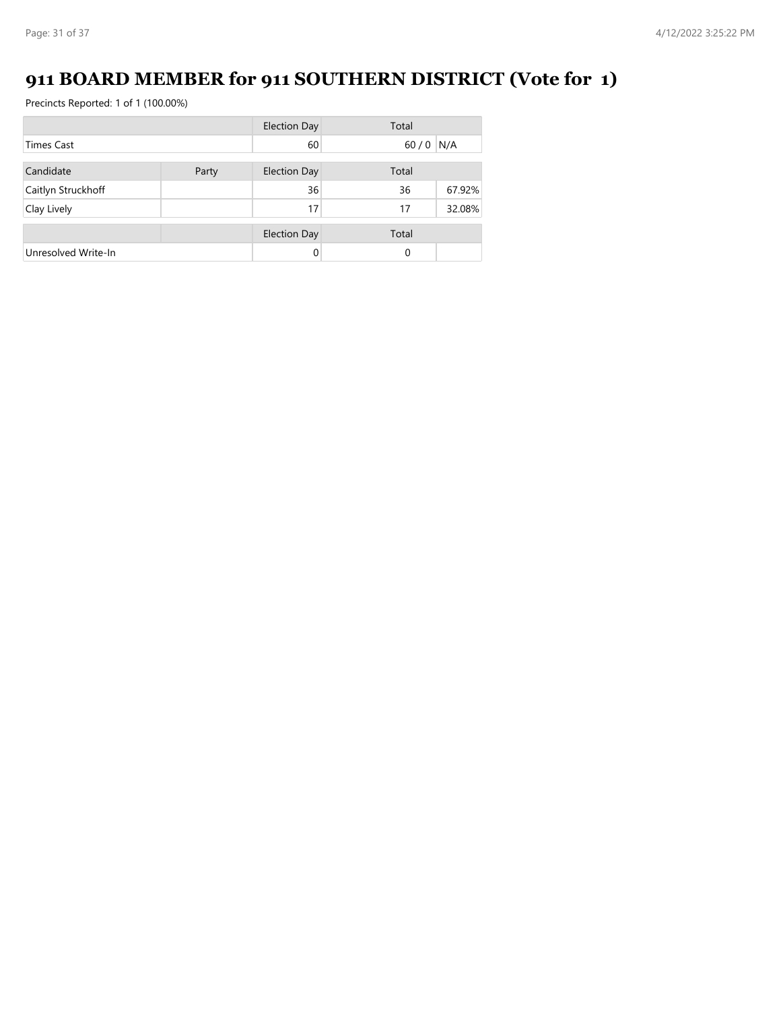# **911 BOARD MEMBER for 911 SOUTHERN DISTRICT (Vote for 1)**

|                     |       | <b>Election Day</b> | Total  |        |
|---------------------|-------|---------------------|--------|--------|
| <b>Times Cast</b>   |       | 60                  | $60/0$ | N/A    |
| Candidate           | Party | <b>Election Day</b> | Total  |        |
| Caitlyn Struckhoff  |       | 36                  | 36     | 67.92% |
| Clay Lively         |       | 17                  | 17     | 32.08% |
|                     |       | <b>Election Day</b> | Total  |        |
| Unresolved Write-In |       | 0                   | 0      |        |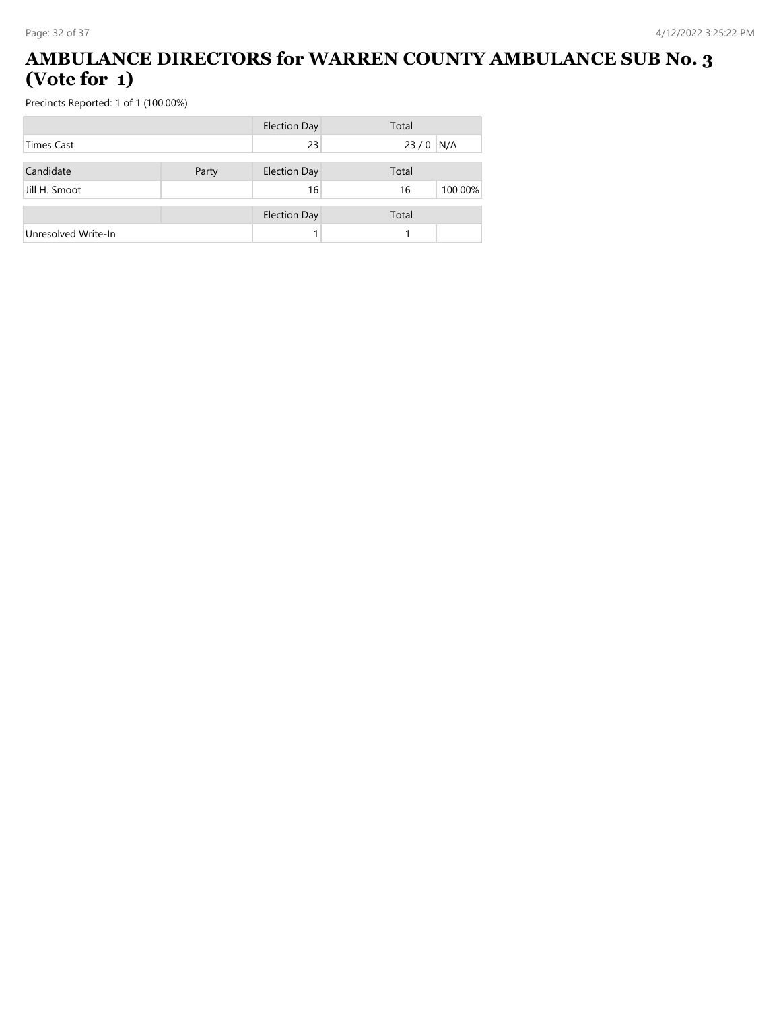#### **AMBULANCE DIRECTORS for WARREN COUNTY AMBULANCE SUB No. 3 (Vote for 1)**

|                     |       | <b>Election Day</b> | Total         |
|---------------------|-------|---------------------|---------------|
| <b>Times Cast</b>   |       | 23                  | 23/0<br>N/A   |
| Candidate           | Party | <b>Election Day</b> | Total         |
| Jill H. Smoot       |       | 16                  | 100.00%<br>16 |
|                     |       | <b>Election Day</b> | Total         |
| Unresolved Write-In |       |                     |               |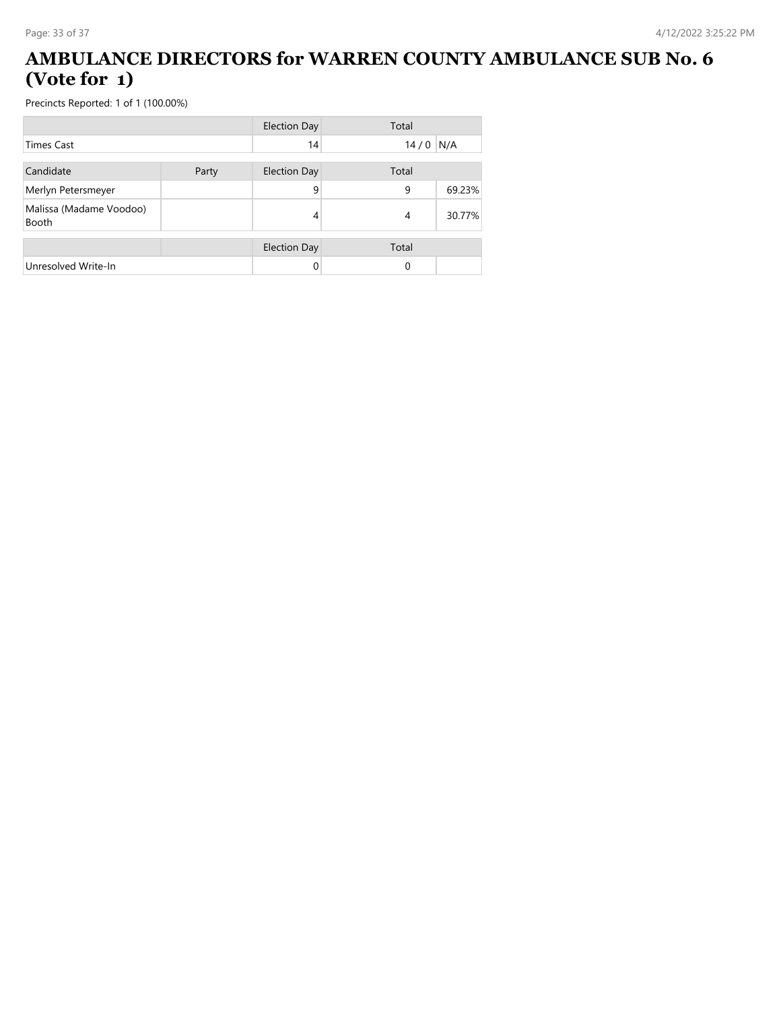#### **AMBULANCE DIRECTORS for WARREN COUNTY AMBULANCE SUB No. 6 (Vote for 1)**

|                                         |       | <b>Election Day</b> | Total          |        |
|-----------------------------------------|-------|---------------------|----------------|--------|
| <b>Times Cast</b>                       |       | 14                  | $14/0$ N/A     |        |
| Candidate                               | Party | <b>Election Day</b> | Total          |        |
| Merlyn Petersmeyer                      |       | 9                   | 9              | 69.23% |
| Malissa (Madame Voodoo)<br><b>Booth</b> |       | 4                   | $\overline{4}$ | 30.77% |
|                                         |       | <b>Election Day</b> | Total          |        |
| Unresolved Write-In                     |       |                     | $\Omega$       |        |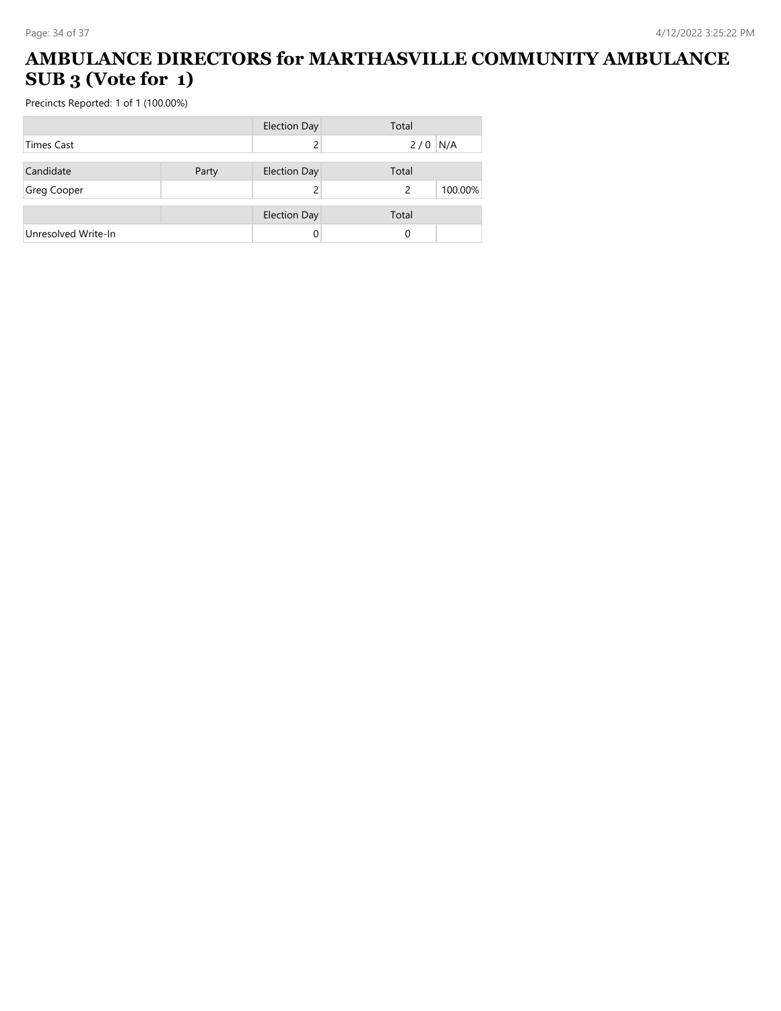#### **AMBULANCE DIRECTORS for MARTHASVILLE COMMUNITY AMBULANCE SUB 3 (Vote for 1)**

|                     |       | <b>Election Day</b> | Total     |         |
|---------------------|-------|---------------------|-----------|---------|
| <b>Times Cast</b>   |       |                     | $2/0$ N/A |         |
| Candidate           |       |                     | Total     |         |
|                     | Party | <b>Election Day</b> |           |         |
| Greg Cooper         |       |                     | 2         | 100.00% |
|                     |       | <b>Election Day</b> | Total     |         |
|                     |       |                     |           |         |
| Unresolved Write-In |       |                     | 0         |         |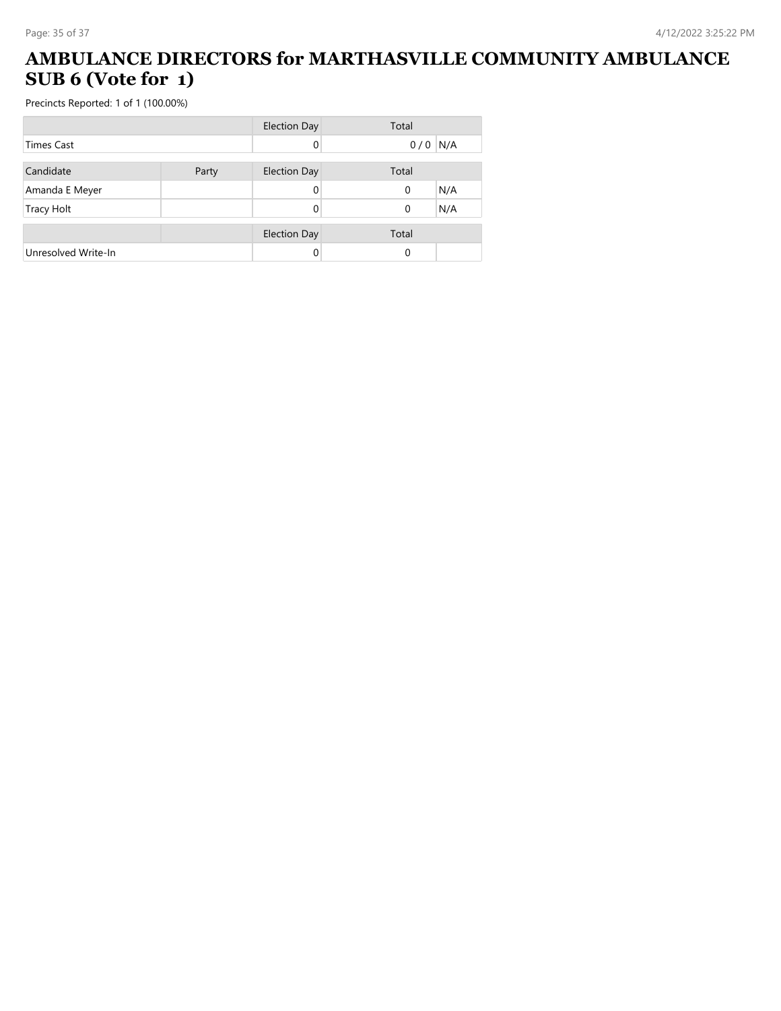#### **AMBULANCE DIRECTORS for MARTHASVILLE COMMUNITY AMBULANCE SUB 6 (Vote for 1)**

|                     |       | <b>Election Day</b> | Total      |
|---------------------|-------|---------------------|------------|
| <b>Times Cast</b>   |       | 0                   | N/A<br>0/0 |
|                     |       |                     |            |
| Candidate           | Party | <b>Election Day</b> | Total      |
| Amanda E Meyer      |       | 0                   | N/A<br>0   |
| <b>Tracy Holt</b>   |       |                     | N/A<br>0   |
|                     |       |                     |            |
|                     |       | <b>Election Day</b> | Total      |
| Unresolved Write-In |       | 0                   | $\Omega$   |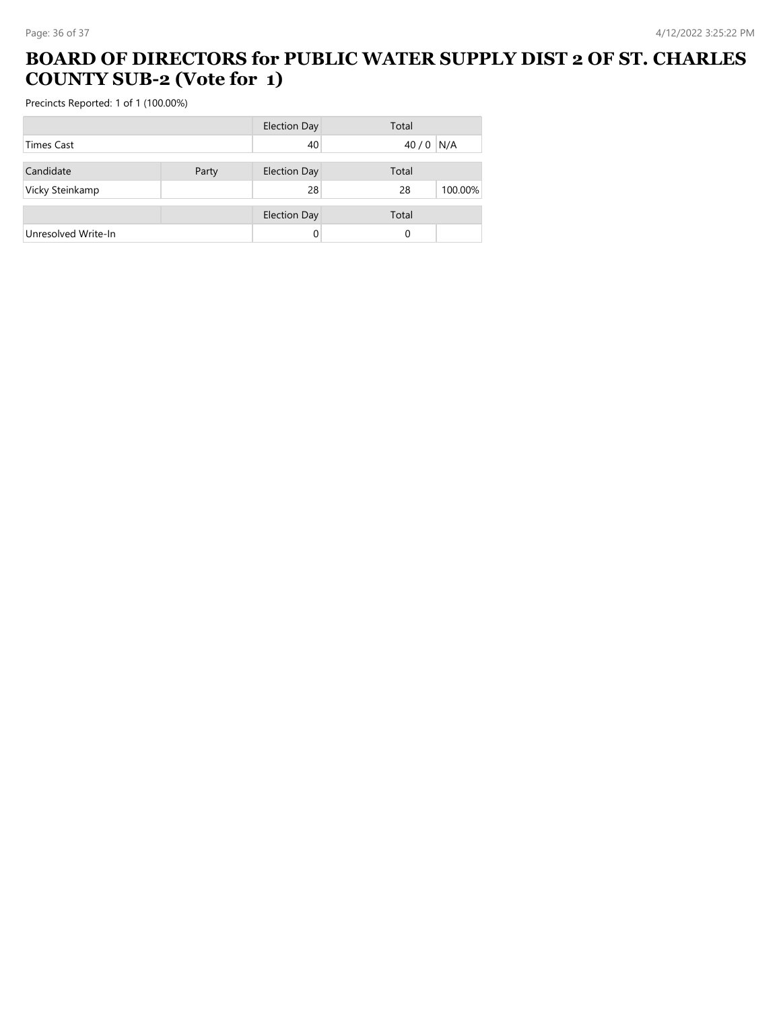#### **BOARD OF DIRECTORS for PUBLIC WATER SUPPLY DIST 2 OF ST. CHARLES COUNTY SUB-2 (Vote for 1)**

|                     |       | <b>Election Day</b> | Total |         |
|---------------------|-------|---------------------|-------|---------|
| <b>Times Cast</b>   |       | 40                  | 40/0  | N/A     |
| Candidate           | Party | <b>Election Day</b> | Total |         |
| Vicky Steinkamp     |       | 28                  | 28    | 100.00% |
|                     |       | <b>Election Day</b> | Total |         |
| Unresolved Write-In |       |                     | 0     |         |